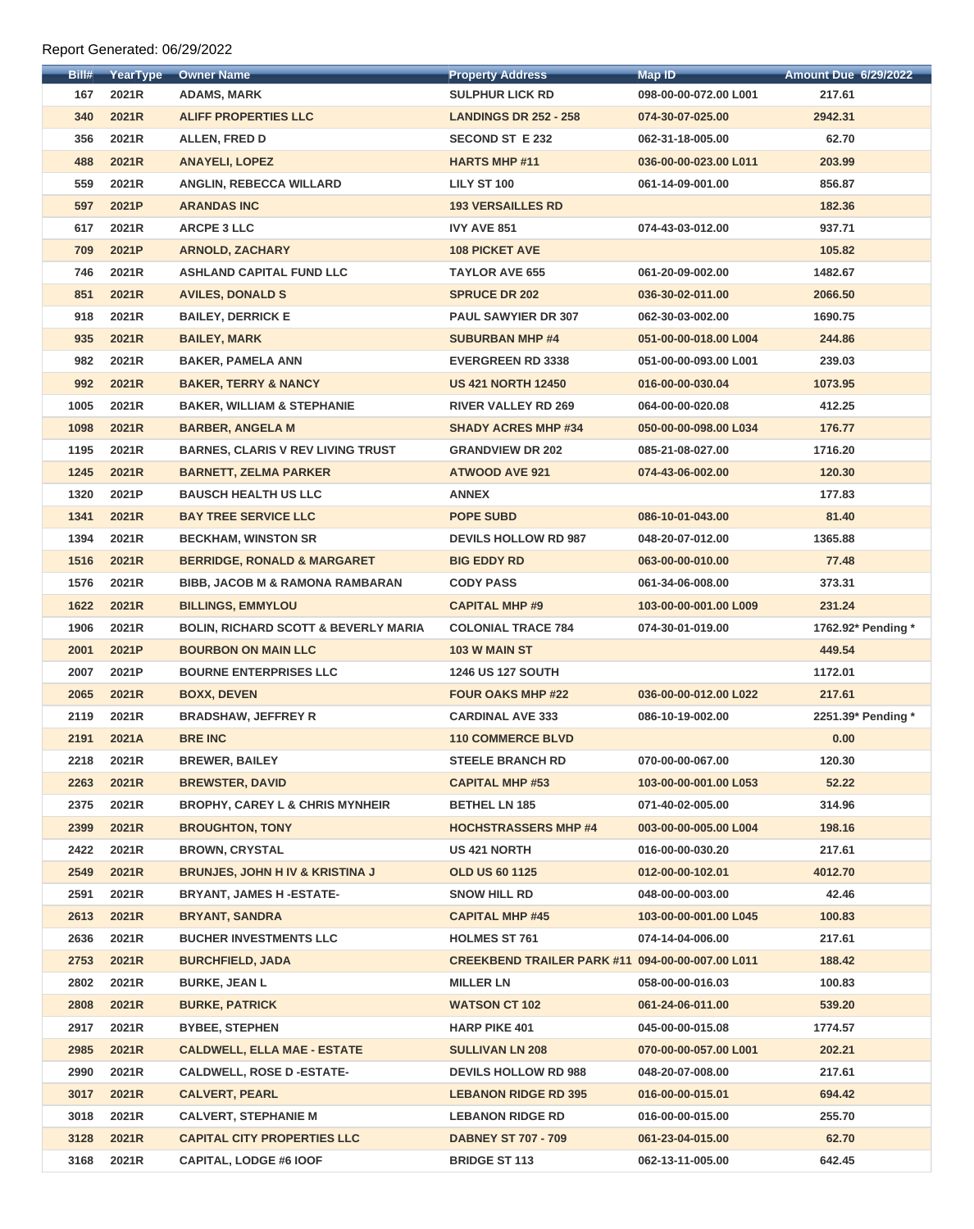| Bill# | <b>YearType</b> | <b>Owner Name</b>                               | <b>Property Address</b>                          | <b>Map ID</b>         | <b>Amount Due 6/29/2022</b> |
|-------|-----------------|-------------------------------------------------|--------------------------------------------------|-----------------------|-----------------------------|
| 167   | 2021R           | <b>ADAMS, MARK</b>                              | <b>SULPHUR LICK RD</b>                           | 098-00-00-072.00 L001 | 217.61                      |
| 340   | 2021R           | <b>ALIFF PROPERTIES LLC</b>                     | <b>LANDINGS DR 252 - 258</b>                     | 074-30-07-025.00      | 2942.31                     |
| 356   | 2021R           | <b>ALLEN, FRED D</b>                            | <b>SECOND ST E 232</b>                           | 062-31-18-005.00      | 62.70                       |
| 488   | 2021R           | <b>ANAYELI, LOPEZ</b>                           | <b>HARTS MHP #11</b>                             | 036-00-00-023.00 L011 | 203.99                      |
| 559   | 2021R           | <b>ANGLIN, REBECCA WILLARD</b>                  | <b>LILY ST 100</b>                               | 061-14-09-001.00      | 856.87                      |
| 597   | 2021P           | <b>ARANDAS INC</b>                              | <b>193 VERSAILLES RD</b>                         |                       | 182.36                      |
| 617   | 2021R           | <b>ARCPE 3 LLC</b>                              | <b>IVY AVE 851</b>                               | 074-43-03-012.00      | 937.71                      |
| 709   | 2021P           | <b>ARNOLD, ZACHARY</b>                          | <b>108 PICKET AVE</b>                            |                       | 105.82                      |
| 746   | 2021R           | <b>ASHLAND CAPITAL FUND LLC</b>                 | <b>TAYLOR AVE 655</b>                            | 061-20-09-002.00      | 1482.67                     |
| 851   | 2021R           | <b>AVILES, DONALD S</b>                         | <b>SPRUCE DR 202</b>                             | 036-30-02-011.00      | 2066.50                     |
| 918   | 2021R           | <b>BAILEY, DERRICK E</b>                        | <b>PAUL SAWYIER DR 307</b>                       | 062-30-03-002.00      | 1690.75                     |
| 935   | 2021R           | <b>BAILEY, MARK</b>                             | <b>SUBURBAN MHP #4</b>                           | 051-00-00-018.00 L004 | 244.86                      |
| 982   | 2021R           | <b>BAKER, PAMELA ANN</b>                        | <b>EVERGREEN RD 3338</b>                         | 051-00-00-093.00 L001 | 239.03                      |
| 992   | 2021R           | <b>BAKER, TERRY &amp; NANCY</b>                 | <b>US 421 NORTH 12450</b>                        | 016-00-00-030.04      | 1073.95                     |
| 1005  | 2021R           | <b>BAKER, WILLIAM &amp; STEPHANIE</b>           | <b>RIVER VALLEY RD 269</b>                       | 064-00-00-020.08      | 412.25                      |
| 1098  | 2021R           | <b>BARBER, ANGELA M</b>                         | <b>SHADY ACRES MHP #34</b>                       | 050-00-00-098.00 L034 | 176.77                      |
| 1195  | 2021R           | <b>BARNES, CLARIS V REV LIVING TRUST</b>        | <b>GRANDVIEW DR 202</b>                          | 085-21-08-027.00      | 1716.20                     |
| 1245  | 2021R           | <b>BARNETT, ZELMA PARKER</b>                    | <b>ATWOOD AVE 921</b>                            | 074-43-06-002.00      | 120.30                      |
| 1320  | 2021P           | <b>BAUSCH HEALTH US LLC</b>                     | <b>ANNEX</b>                                     |                       | 177.83                      |
| 1341  | 2021R           | <b>BAY TREE SERVICE LLC</b>                     | <b>POPE SUBD</b>                                 | 086-10-01-043.00      | 81.40                       |
| 1394  | 2021R           | <b>BECKHAM, WINSTON SR</b>                      | <b>DEVILS HOLLOW RD 987</b>                      | 048-20-07-012.00      | 1365.88                     |
| 1516  | 2021R           | <b>BERRIDGE, RONALD &amp; MARGARET</b>          | <b>BIG EDDY RD</b>                               | 063-00-00-010.00      | 77.48                       |
| 1576  | 2021R           | <b>BIBB, JACOB M &amp; RAMONA RAMBARAN</b>      | <b>CODY PASS</b>                                 | 061-34-06-008.00      | 373.31                      |
| 1622  | 2021R           | <b>BILLINGS, EMMYLOU</b>                        | <b>CAPITAL MHP #9</b>                            | 103-00-00-001.00 L009 | 231.24                      |
| 1906  | 2021R           | <b>BOLIN, RICHARD SCOTT &amp; BEVERLY MARIA</b> | <b>COLONIAL TRACE 784</b>                        | 074-30-01-019.00      | 1762.92* Pending *          |
| 2001  | 2021P           | <b>BOURBON ON MAIN LLC</b>                      | 103 W MAIN ST                                    |                       | 449.54                      |
| 2007  | 2021P           | <b>BOURNE ENTERPRISES LLC</b>                   | <b>1246 US 127 SOUTH</b>                         |                       | 1172.01                     |
| 2065  | 2021R           | <b>BOXX, DEVEN</b>                              | <b>FOUR OAKS MHP #22</b>                         | 036-00-00-012.00 L022 | 217.61                      |
| 2119  | 2021R           | <b>BRADSHAW, JEFFREY R</b>                      | <b>CARDINAL AVE 333</b>                          | 086-10-19-002.00      | 2251.39* Pending *          |
| 2191  | 2021A           | <b>BRE INC</b>                                  | <b>110 COMMERCE BLVD</b>                         |                       | 0.00                        |
| 2218  | 2021R           | <b>BREWER, BAILEY</b>                           | <b>STEELE BRANCH RD</b>                          | 070-00-00-067.00      | 120.30                      |
| 2263  | 2021R           | <b>BREWSTER, DAVID</b>                          | <b>CAPITAL MHP #53</b>                           | 103-00-00-001.00 L053 | 52.22                       |
| 2375  | 2021R           | <b>BROPHY, CAREY L &amp; CHRIS MYNHEIR</b>      | <b>BETHEL LN 185</b>                             | 071-40-02-005.00      | 314.96                      |
| 2399  | 2021R           | <b>BROUGHTON, TONY</b>                          | <b>HOCHSTRASSERS MHP #4</b>                      | 003-00-00-005.00 L004 | 198.16                      |
| 2422  | 2021R           | <b>BROWN, CRYSTAL</b>                           | <b>US 421 NORTH</b>                              | 016-00-00-030.20      | 217.61                      |
| 2549  | 2021R           | <b>BRUNJES, JOHN H IV &amp; KRISTINA J</b>      | <b>OLD US 60 1125</b>                            | 012-00-00-102.01      | 4012.70                     |
| 2591  | 2021R           | <b>BRYANT, JAMES H-ESTATE-</b>                  | <b>SNOW HILL RD</b>                              | 048-00-00-003.00      | 42.46                       |
| 2613  | 2021R           | <b>BRYANT, SANDRA</b>                           | <b>CAPITAL MHP #45</b>                           | 103-00-00-001.00 L045 | 100.83                      |
| 2636  | 2021R           | <b>BUCHER INVESTMENTS LLC</b>                   | <b>HOLMES ST 761</b>                             | 074-14-04-006.00      | 217.61                      |
| 2753  | 2021R           | <b>BURCHFIELD, JADA</b>                         | CREEKBEND TRAILER PARK #11 094-00-00-007.00 L011 |                       | 188.42                      |
| 2802  | 2021R           | <b>BURKE, JEAN L</b>                            | <b>MILLER LN</b>                                 | 058-00-00-016.03      | 100.83                      |
| 2808  | 2021R           | <b>BURKE, PATRICK</b>                           | <b>WATSON CT 102</b>                             | 061-24-06-011.00      | 539.20                      |
| 2917  | 2021R           | <b>BYBEE, STEPHEN</b>                           | <b>HARP PIKE 401</b>                             | 045-00-00-015.08      | 1774.57                     |
| 2985  | 2021R           | <b>CALDWELL, ELLA MAE - ESTATE</b>              | <b>SULLIVAN LN 208</b>                           | 070-00-00-057.00 L001 | 202.21                      |
| 2990  | 2021R           | <b>CALDWELL, ROSE D -ESTATE-</b>                | <b>DEVILS HOLLOW RD 988</b>                      | 048-20-07-008.00      | 217.61                      |
| 3017  | 2021R           | <b>CALVERT, PEARL</b>                           | <b>LEBANON RIDGE RD 395</b>                      | 016-00-00-015.01      | 694.42                      |
| 3018  | 2021R           | <b>CALVERT, STEPHANIE M</b>                     | <b>LEBANON RIDGE RD</b>                          | 016-00-00-015.00      | 255.70                      |
| 3128  | 2021R           | <b>CAPITAL CITY PROPERTIES LLC</b>              | <b>DABNEY ST 707 - 709</b>                       | 061-23-04-015.00      | 62.70                       |
| 3168  | 2021R           | <b>CAPITAL, LODGE #6 IOOF</b>                   | <b>BRIDGE ST 113</b>                             | 062-13-11-005.00      | 642.45                      |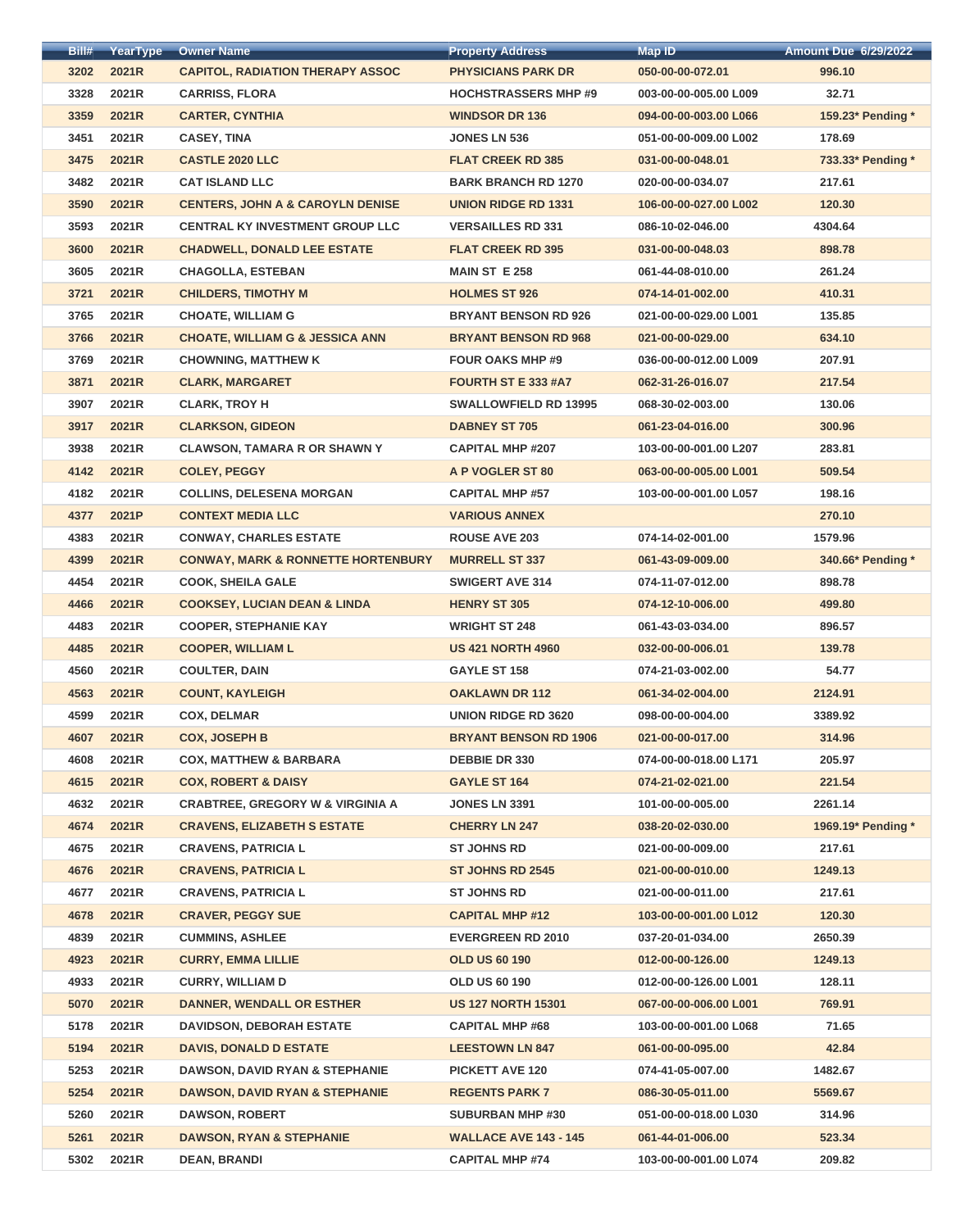| Bill# | YearType     | <b>Owner Name</b>                             | <b>Property Address</b>      | <b>Map ID</b>         | <b>Amount Due 6/29/2022</b> |
|-------|--------------|-----------------------------------------------|------------------------------|-----------------------|-----------------------------|
| 3202  | 2021R        | <b>CAPITOL, RADIATION THERAPY ASSOC</b>       | <b>PHYSICIANS PARK DR</b>    | 050-00-00-072.01      | 996.10                      |
| 3328  | 2021R        | <b>CARRISS, FLORA</b>                         | <b>HOCHSTRASSERS MHP #9</b>  | 003-00-00-005.00 L009 | 32.71                       |
| 3359  | 2021R        | <b>CARTER, CYNTHIA</b>                        | <b>WINDSOR DR 136</b>        | 094-00-00-003.00 L066 | 159.23* Pending *           |
| 3451  | 2021R        | <b>CASEY, TINA</b>                            | <b>JONES LN 536</b>          | 051-00-00-009.00 L002 | 178.69                      |
| 3475  | 2021R        | <b>CASTLE 2020 LLC</b>                        | <b>FLAT CREEK RD 385</b>     | 031-00-00-048.01      | 733.33* Pending *           |
| 3482  | 2021R        | <b>CAT ISLAND LLC</b>                         | <b>BARK BRANCH RD 1270</b>   | 020-00-00-034.07      | 217.61                      |
| 3590  | 2021R        | <b>CENTERS, JOHN A &amp; CAROYLN DENISE</b>   | <b>UNION RIDGE RD 1331</b>   | 106-00-00-027.00 L002 | 120.30                      |
| 3593  | 2021R        | <b>CENTRAL KY INVESTMENT GROUP LLC</b>        | <b>VERSAILLES RD 331</b>     | 086-10-02-046.00      | 4304.64                     |
| 3600  | 2021R        | <b>CHADWELL, DONALD LEE ESTATE</b>            | <b>FLAT CREEK RD 395</b>     | 031-00-00-048.03      | 898.78                      |
| 3605  | 2021R        | <b>CHAGOLLA, ESTEBAN</b>                      | <b>MAIN ST E 258</b>         | 061-44-08-010.00      | 261.24                      |
| 3721  | 2021R        | <b>CHILDERS, TIMOTHY M</b>                    | <b>HOLMES ST 926</b>         | 074-14-01-002.00      | 410.31                      |
| 3765  | 2021R        | <b>CHOATE, WILLIAM G</b>                      | <b>BRYANT BENSON RD 926</b>  | 021-00-00-029.00 L001 | 135.85                      |
| 3766  | 2021R        | <b>CHOATE, WILLIAM G &amp; JESSICA ANN</b>    | <b>BRYANT BENSON RD 968</b>  | 021-00-00-029.00      | 634.10                      |
| 3769  | 2021R        | <b>CHOWNING, MATTHEW K</b>                    | <b>FOUR OAKS MHP #9</b>      | 036-00-00-012.00 L009 | 207.91                      |
| 3871  | 2021R        | <b>CLARK, MARGARET</b>                        | FOURTH ST E 333 #A7          | 062-31-26-016.07      | 217.54                      |
| 3907  | 2021R        | <b>CLARK, TROY H</b>                          | <b>SWALLOWFIELD RD 13995</b> | 068-30-02-003.00      | 130.06                      |
| 3917  | <b>2021R</b> | <b>CLARKSON, GIDEON</b>                       | <b>DABNEY ST 705</b>         | 061-23-04-016.00      | 300.96                      |
| 3938  | 2021R        | <b>CLAWSON, TAMARA R OR SHAWN Y</b>           | <b>CAPITAL MHP #207</b>      | 103-00-00-001.00 L207 | 283.81                      |
| 4142  | 2021R        | <b>COLEY, PEGGY</b>                           | A P VOGLER ST 80             | 063-00-00-005.00 L001 | 509.54                      |
| 4182  | 2021R        | <b>COLLINS, DELESENA MORGAN</b>               | <b>CAPITAL MHP #57</b>       | 103-00-00-001.00 L057 | 198.16                      |
| 4377  | 2021P        | <b>CONTEXT MEDIA LLC</b>                      | <b>VARIOUS ANNEX</b>         |                       | 270.10                      |
| 4383  | 2021R        | <b>CONWAY, CHARLES ESTATE</b>                 | <b>ROUSE AVE 203</b>         | 074-14-02-001.00      | 1579.96                     |
| 4399  | 2021R        | <b>CONWAY, MARK &amp; RONNETTE HORTENBURY</b> | <b>MURRELL ST 337</b>        | 061-43-09-009.00      | 340.66* Pending *           |
| 4454  | 2021R        | <b>COOK, SHEILA GALE</b>                      | <b>SWIGERT AVE 314</b>       | 074-11-07-012.00      | 898.78                      |
| 4466  | 2021R        | <b>COOKSEY, LUCIAN DEAN &amp; LINDA</b>       | <b>HENRY ST 305</b>          | 074-12-10-006.00      | 499.80                      |
| 4483  | 2021R        | <b>COOPER, STEPHANIE KAY</b>                  | <b>WRIGHT ST 248</b>         | 061-43-03-034.00      | 896.57                      |
| 4485  | 2021R        | <b>COOPER, WILLIAM L</b>                      | <b>US 421 NORTH 4960</b>     | 032-00-00-006.01      | 139.78                      |
| 4560  | 2021R        | <b>COULTER, DAIN</b>                          | <b>GAYLE ST 158</b>          | 074-21-03-002.00      | 54.77                       |
| 4563  | <b>2021R</b> | <b>COUNT, KAYLEIGH</b>                        | <b>OAKLAWN DR 112</b>        | 061-34-02-004.00      | 2124.91                     |
| 4599  | 2021R        | <b>COX, DELMAR</b>                            | <b>UNION RIDGE RD 3620</b>   | 098-00-00-004.00      | 3389.92                     |
| 4607  | 2021R        | <b>COX, JOSEPH B</b>                          | <b>BRYANT BENSON RD 1906</b> | 021-00-00-017.00      | 314.96                      |
| 4608  | 2021R        | <b>COX, MATTHEW &amp; BARBARA</b>             | <b>DEBBIE DR 330</b>         | 074-00-00-018.00 L171 | 205.97                      |
| 4615  | 2021R        | <b>COX, ROBERT &amp; DAISY</b>                | <b>GAYLE ST 164</b>          | 074-21-02-021.00      | 221.54                      |
| 4632  | 2021R        | <b>CRABTREE, GREGORY W &amp; VIRGINIA A</b>   | <b>JONES LN 3391</b>         | 101-00-00-005.00      | 2261.14                     |
| 4674  | 2021R        | <b>CRAVENS, ELIZABETH S ESTATE</b>            | <b>CHERRY LN 247</b>         | 038-20-02-030.00      | 1969.19* Pending *          |
| 4675  | 2021R        | <b>CRAVENS, PATRICIA L</b>                    | <b>ST JOHNS RD</b>           | 021-00-00-009.00      | 217.61                      |
| 4676  | 2021R        | <b>CRAVENS, PATRICIA L</b>                    | <b>ST JOHNS RD 2545</b>      | 021-00-00-010.00      | 1249.13                     |
| 4677  | 2021R        | <b>CRAVENS, PATRICIA L</b>                    | <b>ST JOHNS RD</b>           | 021-00-00-011.00      | 217.61                      |
| 4678  | 2021R        | <b>CRAVER, PEGGY SUE</b>                      | <b>CAPITAL MHP #12</b>       | 103-00-00-001.00 L012 | 120.30                      |
| 4839  | 2021R        | <b>CUMMINS, ASHLEE</b>                        | <b>EVERGREEN RD 2010</b>     | 037-20-01-034.00      | 2650.39                     |
| 4923  | 2021R        | <b>CURRY, EMMA LILLIE</b>                     | <b>OLD US 60 190</b>         | 012-00-00-126.00      | 1249.13                     |
| 4933  | 2021R        | <b>CURRY, WILLIAM D</b>                       | <b>OLD US 60 190</b>         | 012-00-00-126.00 L001 | 128.11                      |
| 5070  | 2021R        | <b>DANNER, WENDALL OR ESTHER</b>              | <b>US 127 NORTH 15301</b>    | 067-00-00-006.00 L001 | 769.91                      |
| 5178  | 2021R        | <b>DAVIDSON, DEBORAH ESTATE</b>               | <b>CAPITAL MHP #68</b>       | 103-00-00-001.00 L068 | 71.65                       |
| 5194  | 2021R        | <b>DAVIS, DONALD D ESTATE</b>                 | <b>LEESTOWN LN 847</b>       | 061-00-00-095.00      | 42.84                       |
| 5253  | 2021R        | <b>DAWSON, DAVID RYAN &amp; STEPHANIE</b>     | <b>PICKETT AVE 120</b>       | 074-41-05-007.00      | 1482.67                     |
| 5254  | 2021R        | <b>DAWSON, DAVID RYAN &amp; STEPHANIE</b>     | <b>REGENTS PARK 7</b>        | 086-30-05-011.00      | 5569.67                     |
| 5260  | 2021R        | <b>DAWSON, ROBERT</b>                         | <b>SUBURBAN MHP #30</b>      | 051-00-00-018.00 L030 | 314.96                      |
| 5261  | 2021R        | <b>DAWSON, RYAN &amp; STEPHANIE</b>           | <b>WALLACE AVE 143 - 145</b> | 061-44-01-006.00      | 523.34                      |
| 5302  | 2021R        | <b>DEAN, BRANDI</b>                           | <b>CAPITAL MHP #74</b>       | 103-00-00-001.00 L074 | 209.82                      |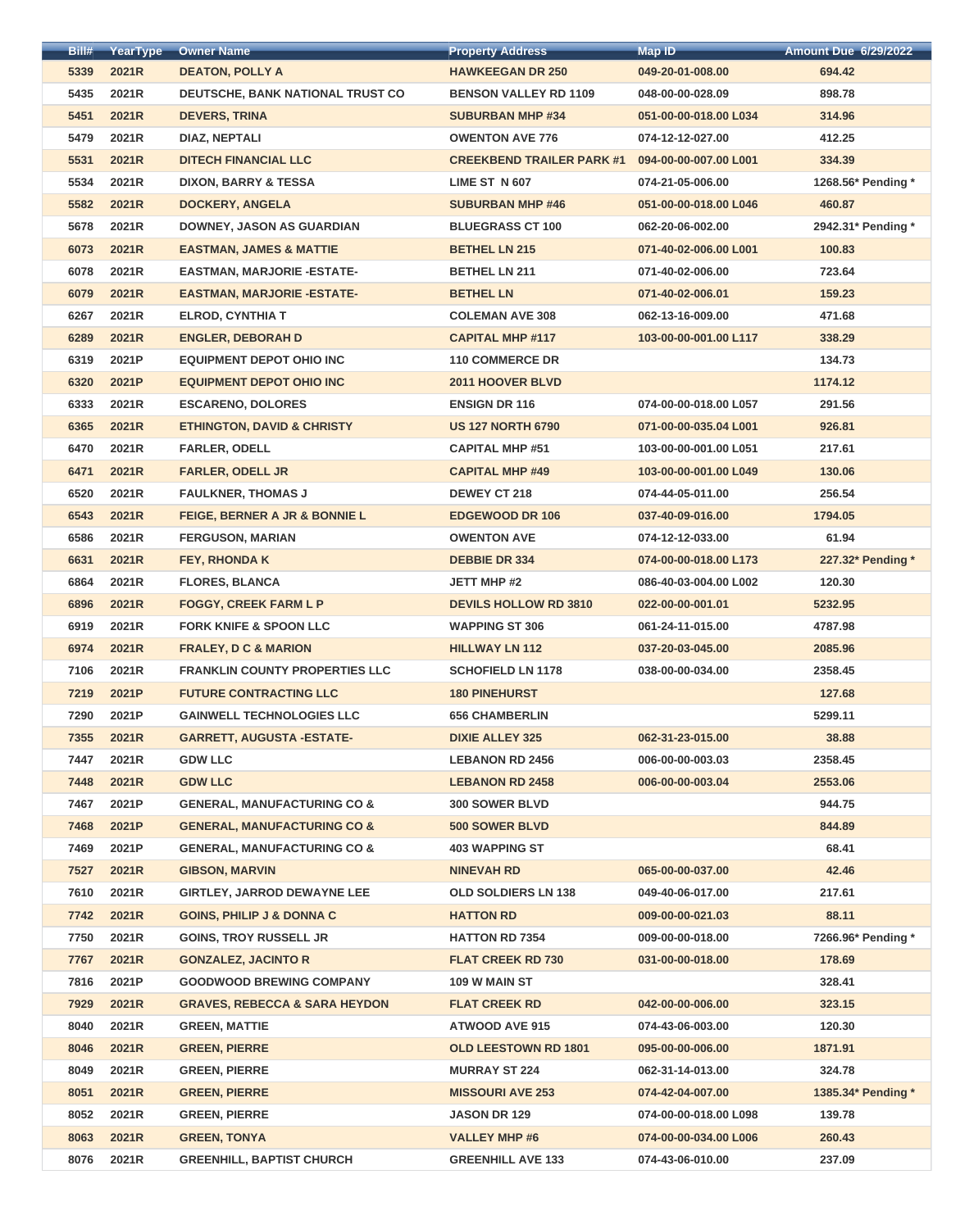| Bill#        | YearType       | <b>Owner Name</b>                            | <b>Property Address</b>          | Map ID                                    | <b>Amount Due 6/29/2022</b>  |
|--------------|----------------|----------------------------------------------|----------------------------------|-------------------------------------------|------------------------------|
| 5339         | 2021R          | <b>DEATON, POLLY A</b>                       | <b>HAWKEEGAN DR 250</b>          | 049-20-01-008.00                          | 694.42                       |
| 5435         | 2021R          | DEUTSCHE, BANK NATIONAL TRUST CO             | <b>BENSON VALLEY RD 1109</b>     | 048-00-00-028.09                          | 898.78                       |
| 5451         | 2021R          | <b>DEVERS, TRINA</b>                         | <b>SUBURBAN MHP #34</b>          | 051-00-00-018.00 L034                     | 314.96                       |
| 5479         | 2021R          | DIAZ, NEPTALI                                | <b>OWENTON AVE 776</b>           | 074-12-12-027.00                          | 412.25                       |
| 5531         | 2021R          | <b>DITECH FINANCIAL LLC</b>                  | <b>CREEKBEND TRAILER PARK #1</b> | 094-00-00-007.00 L001                     | 334.39                       |
| 5534         | 2021R          | <b>DIXON, BARRY &amp; TESSA</b>              | <b>LIME ST N 607</b>             | 074-21-05-006.00                          | 1268.56* Pending *           |
| 5582         | 2021R          | <b>DOCKERY, ANGELA</b>                       | <b>SUBURBAN MHP #46</b>          | 051-00-00-018.00 L046                     | 460.87                       |
| 5678         | 2021R          | <b>DOWNEY, JASON AS GUARDIAN</b>             | <b>BLUEGRASS CT 100</b>          | 062-20-06-002.00                          | 2942.31* Pending *           |
| 6073         | 2021R          | <b>EASTMAN, JAMES &amp; MATTIE</b>           | <b>BETHEL LN 215</b>             | 071-40-02-006.00 L001                     | 100.83                       |
| 6078         | 2021R          | <b>EASTMAN, MARJORIE - ESTATE-</b>           | <b>BETHEL LN 211</b>             | 071-40-02-006.00                          | 723.64                       |
| 6079         | 2021R          | <b>EASTMAN, MARJORIE - ESTATE-</b>           | <b>BETHEL LN</b>                 | 071-40-02-006.01                          | 159.23                       |
| 6267         | 2021R          | <b>ELROD, CYNTHIA T</b>                      | <b>COLEMAN AVE 308</b>           | 062-13-16-009.00                          | 471.68                       |
| 6289         | 2021R          | <b>ENGLER, DEBORAH D</b>                     | <b>CAPITAL MHP #117</b>          | 103-00-00-001.00 L117                     | 338.29                       |
| 6319         | 2021P          | <b>EQUIPMENT DEPOT OHIO INC</b>              | <b>110 COMMERCE DR</b>           |                                           | 134.73                       |
| 6320         | 2021P          | <b>EQUIPMENT DEPOT OHIO INC</b>              | 2011 HOOVER BLVD                 |                                           | 1174.12                      |
| 6333         | 2021R          | <b>ESCARENO, DOLORES</b>                     | <b>ENSIGN DR 116</b>             | 074-00-00-018.00 L057                     | 291.56                       |
| 6365         | 2021R          | <b>ETHINGTON, DAVID &amp; CHRISTY</b>        | <b>US 127 NORTH 6790</b>         | 071-00-00-035.04 L001                     | 926.81                       |
| 6470         | 2021R          | <b>FARLER, ODELL</b>                         | <b>CAPITAL MHP #51</b>           | 103-00-00-001.00 L051                     | 217.61                       |
| 6471         | 2021R          | <b>FARLER, ODELL JR</b>                      | <b>CAPITAL MHP #49</b>           | 103-00-00-001.00 L049                     | 130.06                       |
| 6520         | 2021R          | <b>FAULKNER, THOMAS J</b>                    | <b>DEWEY CT 218</b>              | 074-44-05-011.00                          | 256.54                       |
| 6543         | 2021R          | FEIGE, BERNER A JR & BONNIE L                | <b>EDGEWOOD DR 106</b>           | 037-40-09-016.00                          | 1794.05                      |
| 6586         | 2021R          | <b>FERGUSON, MARIAN</b>                      | <b>OWENTON AVE</b>               | 074-12-12-033.00                          | 61.94                        |
| 6631         | 2021R          | <b>FEY, RHONDA K</b>                         | <b>DEBBIE DR 334</b>             | 074-00-00-018.00 L173                     | 227.32* Pending *            |
| 6864         | 2021R          | <b>FLORES, BLANCA</b>                        | <b>JETT MHP #2</b>               | 086-40-03-004.00 L002                     | 120.30                       |
| 6896         | 2021R          | <b>FOGGY, CREEK FARM L P</b>                 | <b>DEVILS HOLLOW RD 3810</b>     | 022-00-00-001.01                          | 5232.95                      |
| 6919         | 2021R          | <b>FORK KNIFE &amp; SPOON LLC</b>            | <b>WAPPING ST 306</b>            | 061-24-11-015.00                          | 4787.98                      |
| 6974         | 2021R          | <b>FRALEY, D C &amp; MARION</b>              | <b>HILLWAY LN 112</b>            | 037-20-03-045.00                          | 2085.96                      |
| 7106         | 2021R          | <b>FRANKLIN COUNTY PROPERTIES LLC</b>        | <b>SCHOFIELD LN 1178</b>         | 038-00-00-034.00                          | 2358.45                      |
| 7219         | 2021P          | <b>FUTURE CONTRACTING LLC</b>                | <b>180 PINEHURST</b>             |                                           | 127.68                       |
| 7290         | 2021P          | <b>GAINWELL TECHNOLOGIES LLC</b>             | <b>656 CHAMBERLIN</b>            |                                           | 5299.11                      |
| 7355         | 2021R          | <b>GARRETT, AUGUSTA -ESTATE-</b>             | <b>DIXIE ALLEY 325</b>           | 062-31-23-015.00                          | 38.88                        |
| 7447         | 2021R          | <b>GDW LLC</b>                               | <b>LEBANON RD 2456</b>           | 006-00-00-003.03                          | 2358.45                      |
| 7448         | 2021R          | <b>GDW LLC</b>                               | <b>LEBANON RD 2458</b>           | 006-00-00-003.04                          | 2553.06                      |
| 7467         | 2021P          | <b>GENERAL, MANUFACTURING CO &amp;</b>       | <b>300 SOWER BLVD</b>            |                                           | 944.75                       |
| 7468         | 2021P          | <b>GENERAL, MANUFACTURING CO &amp;</b>       | <b>500 SOWER BLVD</b>            |                                           | 844.89                       |
| 7469         | 2021P          | <b>GENERAL, MANUFACTURING CO &amp;</b>       | <b>403 WAPPING ST</b>            |                                           | 68.41                        |
| 7527         | 2021R          | <b>GIBSON, MARVIN</b>                        | <b>NINEVAH RD</b>                | 065-00-00-037.00                          | 42.46                        |
| 7610         | 2021R          | <b>GIRTLEY, JARROD DEWAYNE LEE</b>           | <b>OLD SOLDIERS LN 138</b>       | 049-40-06-017.00                          | 217.61                       |
| 7742         | 2021R          | <b>GOINS, PHILIP J &amp; DONNA C</b>         | <b>HATTON RD</b>                 | 009-00-00-021.03                          | 88.11                        |
| 7750         | 2021R          | <b>GOINS, TROY RUSSELL JR</b>                | <b>HATTON RD 7354</b>            | 009-00-00-018.00                          | 7266.96* Pending *           |
| 7767         | 2021R          | <b>GONZALEZ, JACINTO R</b>                   | <b>FLAT CREEK RD 730</b>         | 031-00-00-018.00                          | 178.69                       |
| 7816         | 2021P          | <b>GOODWOOD BREWING COMPANY</b>              | 109 W MAIN ST                    |                                           | 328.41                       |
| 7929         | 2021R          | <b>GRAVES, REBECCA &amp; SARA HEYDON</b>     | <b>FLAT CREEK RD</b>             | 042-00-00-006.00                          | 323.15                       |
| 8040         | 2021R          | <b>GREEN, MATTIE</b>                         | <b>ATWOOD AVE 915</b>            | 074-43-06-003.00                          | 120.30                       |
| 8046         | 2021R          | <b>GREEN, PIERRE</b>                         | <b>OLD LEESTOWN RD 1801</b>      | 095-00-00-006.00                          | 1871.91                      |
| 8049         | 2021R          | <b>GREEN, PIERRE</b>                         | <b>MURRAY ST 224</b>             | 062-31-14-013.00                          | 324.78                       |
|              |                |                                              | <b>MISSOURI AVE 253</b>          |                                           |                              |
| 8051<br>8052 | 2021R<br>2021R | <b>GREEN, PIERRE</b><br><b>GREEN, PIERRE</b> | <b>JASON DR 129</b>              | 074-42-04-007.00<br>074-00-00-018.00 L098 | 1385.34* Pending *<br>139.78 |
| 8063         | 2021R          | <b>GREEN, TONYA</b>                          | <b>VALLEY MHP #6</b>             | 074-00-00-034.00 L006                     | 260.43                       |
| 8076         | 2021R          | <b>GREENHILL, BAPTIST CHURCH</b>             | <b>GREENHILL AVE 133</b>         | 074-43-06-010.00                          | 237.09                       |
|              |                |                                              |                                  |                                           |                              |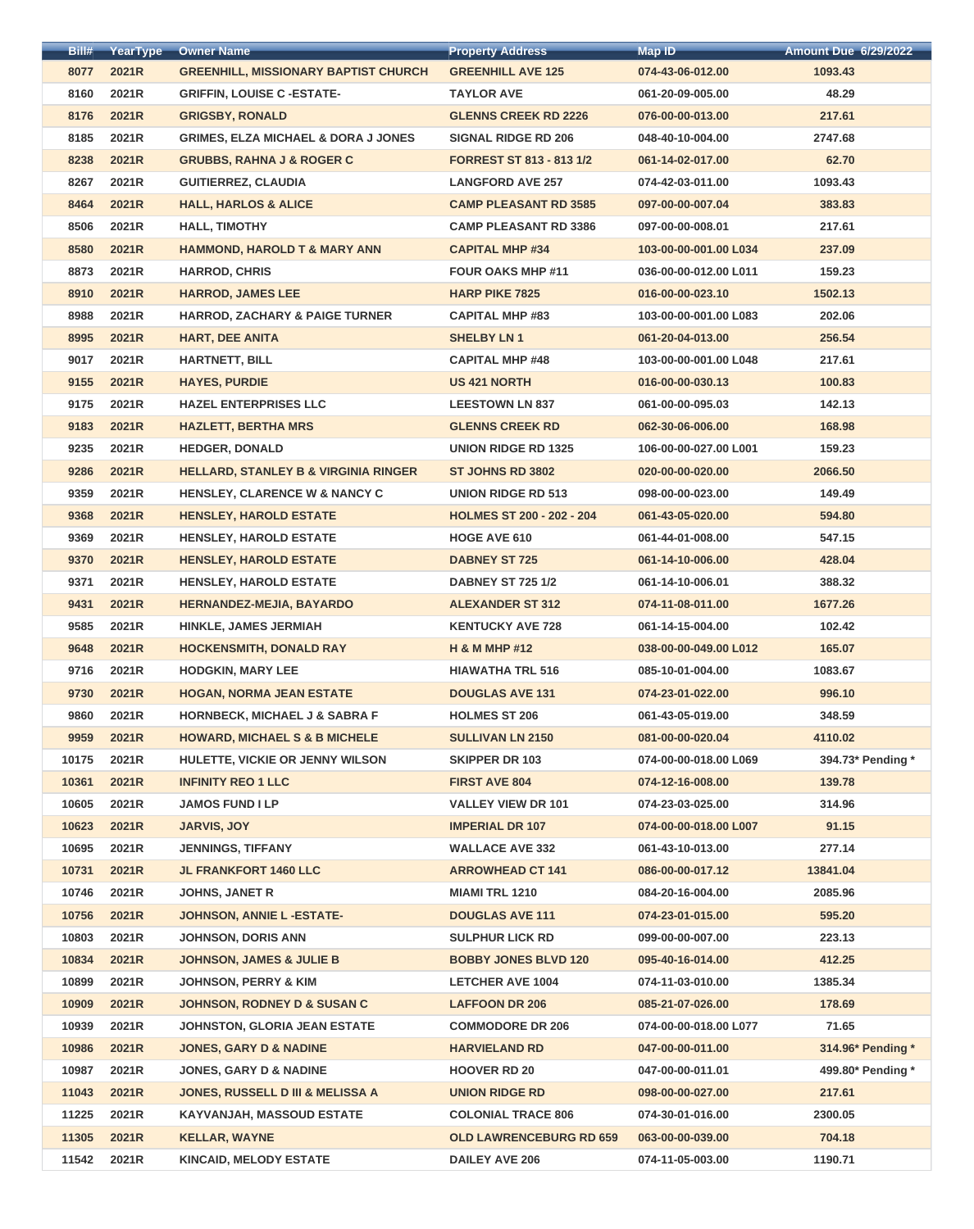| Bill#          | YearType       | <b>Owner Name</b>                                        | <b>Property Address</b>                           | <b>Map ID</b>         | <b>Amount Due 6/29/2022</b> |
|----------------|----------------|----------------------------------------------------------|---------------------------------------------------|-----------------------|-----------------------------|
| 8077           | 2021R          | <b>GREENHILL, MISSIONARY BAPTIST CHURCH</b>              | <b>GREENHILL AVE 125</b>                          | 074-43-06-012.00      | 1093.43                     |
| 8160           | 2021R          | <b>GRIFFIN, LOUISE C-ESTATE-</b>                         | <b>TAYLOR AVE</b>                                 | 061-20-09-005.00      | 48.29                       |
| 8176           | 2021R          | <b>GRIGSBY, RONALD</b>                                   | <b>GLENNS CREEK RD 2226</b>                       | 076-00-00-013.00      | 217.61                      |
| 8185           | 2021R          | <b>GRIMES, ELZA MICHAEL &amp; DORA J JONES</b>           | <b>SIGNAL RIDGE RD 206</b>                        | 048-40-10-004.00      | 2747.68                     |
| 8238           | 2021R          | <b>GRUBBS, RAHNA J &amp; ROGER C</b>                     | <b>FORREST ST 813 - 813 1/2</b>                   | 061-14-02-017.00      | 62.70                       |
| 8267           | 2021R          | <b>GUITIERREZ, CLAUDIA</b>                               | <b>LANGFORD AVE 257</b>                           | 074-42-03-011.00      | 1093.43                     |
| 8464           | 2021R          | <b>HALL, HARLOS &amp; ALICE</b>                          | <b>CAMP PLEASANT RD 3585</b>                      | 097-00-00-007.04      | 383.83                      |
| 8506           | 2021R          | <b>HALL, TIMOTHY</b>                                     | <b>CAMP PLEASANT RD 3386</b>                      | 097-00-00-008.01      | 217.61                      |
| 8580           | 2021R          | <b>HAMMOND, HAROLD T &amp; MARY ANN</b>                  | <b>CAPITAL MHP #34</b>                            | 103-00-00-001.00 L034 | 237.09                      |
| 8873           | 2021R          | <b>HARROD, CHRIS</b>                                     | <b>FOUR OAKS MHP #11</b>                          | 036-00-00-012.00 L011 | 159.23                      |
| 8910           | <b>2021R</b>   | <b>HARROD, JAMES LEE</b>                                 | <b>HARP PIKE 7825</b>                             | 016-00-00-023.10      | 1502.13                     |
| 8988           | 2021R          | <b>HARROD, ZACHARY &amp; PAIGE TURNER</b>                | <b>CAPITAL MHP #83</b>                            | 103-00-00-001.00 L083 | 202.06                      |
| 8995           | 2021R          | <b>HART, DEE ANITA</b>                                   | <b>SHELBY LN1</b>                                 | 061-20-04-013.00      | 256.54                      |
| 9017           | 2021R          | <b>HARTNETT, BILL</b>                                    | <b>CAPITAL MHP #48</b>                            | 103-00-00-001.00 L048 | 217.61                      |
| 9155           | 2021R          | <b>HAYES, PURDIE</b>                                     | <b>US 421 NORTH</b>                               | 016-00-00-030.13      | 100.83                      |
| 9175           | 2021R          | <b>HAZEL ENTERPRISES LLC</b>                             | <b>LEESTOWN LN 837</b>                            | 061-00-00-095.03      | 142.13                      |
| 9183           | 2021R          | <b>HAZLETT, BERTHA MRS</b>                               | <b>GLENNS CREEK RD</b>                            | 062-30-06-006.00      | 168.98                      |
| 9235           | 2021R          | <b>HEDGER, DONALD</b>                                    | <b>UNION RIDGE RD 1325</b>                        | 106-00-00-027.00 L001 | 159.23                      |
| 9286           | 2021R          | <b>HELLARD, STANLEY B &amp; VIRGINIA RINGER</b>          | <b>ST JOHNS RD 3802</b>                           | 020-00-00-020.00      | 2066.50                     |
| 9359           | 2021R          | <b>HENSLEY, CLARENCE W &amp; NANCY C</b>                 | <b>UNION RIDGE RD 513</b>                         | 098-00-00-023.00      | 149.49                      |
| 9368           | 2021R          | <b>HENSLEY, HAROLD ESTATE</b>                            | <b>HOLMES ST 200 - 202 - 204</b>                  | 061-43-05-020.00      | 594.80                      |
| 9369           | 2021R          | <b>HENSLEY, HAROLD ESTATE</b>                            | <b>HOGE AVE 610</b>                               | 061-44-01-008.00      | 547.15                      |
| 9370           | 2021R          | <b>HENSLEY, HAROLD ESTATE</b>                            | <b>DABNEY ST 725</b>                              | 061-14-10-006.00      | 428.04                      |
| 9371           | 2021R          | <b>HENSLEY, HAROLD ESTATE</b>                            | <b>DABNEY ST 725 1/2</b>                          | 061-14-10-006.01      | 388.32                      |
| 9431           | 2021R          | <b>HERNANDEZ-MEJIA, BAYARDO</b>                          | <b>ALEXANDER ST 312</b>                           | 074-11-08-011.00      | 1677.26                     |
| 9585           | 2021R          | <b>HINKLE, JAMES JERMIAH</b>                             | <b>KENTUCKY AVE 728</b>                           | 061-14-15-004.00      | 102.42                      |
| 9648           | 2021R          | <b>HOCKENSMITH, DONALD RAY</b>                           | <b>H &amp; M MHP #12</b>                          | 038-00-00-049.00 L012 | 165.07                      |
| 9716           | 2021R          | <b>HODGKIN, MARY LEE</b>                                 | <b>HIAWATHA TRL 516</b>                           | 085-10-01-004.00      | 1083.67                     |
| 9730           | 2021R          | <b>HOGAN, NORMA JEAN ESTATE</b>                          | <b>DOUGLAS AVE 131</b>                            | 074-23-01-022.00      | 996.10                      |
| 9860           | 2021R          | <b>HORNBECK, MICHAEL J &amp; SABRA F</b>                 | <b>HOLMES ST 206</b>                              | 061-43-05-019.00      | 348.59                      |
| 9959           | 2021R          | <b>HOWARD, MICHAEL S &amp; B MICHELE</b>                 | <b>SULLIVAN LN 2150</b>                           | 081-00-00-020.04      | 4110.02                     |
| 10175          | 2021R          | HULETTE, VICKIE OR JENNY WILSON                          | <b>SKIPPER DR 103</b>                             | 074-00-00-018.00 L069 | 394.73* Pending *           |
| 10361          | 2021R          | <b>INFINITY REO 1 LLC</b>                                | <b>FIRST AVE 804</b>                              | 074-12-16-008.00      | 139.78                      |
|                |                |                                                          |                                                   |                       |                             |
| 10605          | 2021R          | <b>JAMOS FUND I LP</b>                                   | <b>VALLEY VIEW DR 101</b>                         | 074-23-03-025.00      | 314.96                      |
| 10623          | 2021R          | <b>JARVIS, JOY</b>                                       | <b>IMPERIAL DR 107</b>                            | 074-00-00-018.00 L007 | 91.15                       |
| 10695<br>10731 | 2021R<br>2021R | <b>JENNINGS, TIFFANY</b><br><b>JL FRANKFORT 1460 LLC</b> | <b>WALLACE AVE 332</b><br><b>ARROWHEAD CT 141</b> | 061-43-10-013.00      | 277.14<br>13841.04          |
|                |                |                                                          |                                                   | 086-00-00-017.12      |                             |
| 10746          | 2021R          | <b>JOHNS, JANET R</b>                                    | <b>MIAMI TRL 1210</b>                             | 084-20-16-004.00      | 2085.96                     |
| 10756          | 2021R          | <b>JOHNSON, ANNIE L-ESTATE-</b>                          | <b>DOUGLAS AVE 111</b>                            | 074-23-01-015.00      | 595.20                      |
| 10803          | 2021R          | <b>JOHNSON, DORIS ANN</b>                                | <b>SULPHUR LICK RD</b>                            | 099-00-00-007.00      | 223.13                      |
| 10834          | 2021R          | <b>JOHNSON, JAMES &amp; JULIE B</b>                      | <b>BOBBY JONES BLVD 120</b>                       | 095-40-16-014.00      | 412.25                      |
| 10899          | 2021R          | <b>JOHNSON, PERRY &amp; KIM</b>                          | <b>LETCHER AVE 1004</b>                           | 074-11-03-010.00      | 1385.34                     |
| 10909          | 2021R          | <b>JOHNSON, RODNEY D &amp; SUSAN C</b>                   | <b>LAFFOON DR 206</b>                             | 085-21-07-026.00      | 178.69                      |
| 10939          | 2021R          | <b>JOHNSTON, GLORIA JEAN ESTATE</b>                      | <b>COMMODORE DR 206</b>                           | 074-00-00-018.00 L077 | 71.65                       |
| 10986          | 2021R          | <b>JONES, GARY D &amp; NADINE</b>                        | <b>HARVIELAND RD</b>                              | 047-00-00-011.00      | 314.96* Pending *           |
| 10987          | 2021R          | <b>JONES, GARY D &amp; NADINE</b>                        | <b>HOOVER RD 20</b>                               | 047-00-00-011.01      | 499.80* Pending *           |
| 11043          | 2021R          | <b>JONES, RUSSELL D III &amp; MELISSA A</b>              | <b>UNION RIDGE RD</b>                             | 098-00-00-027.00      | 217.61                      |
| 11225          | 2021R          | <b>KAYVANJAH, MASSOUD ESTATE</b>                         | <b>COLONIAL TRACE 806</b>                         | 074-30-01-016.00      | 2300.05                     |
| 11305          | 2021R          | <b>KELLAR, WAYNE</b>                                     | <b>OLD LAWRENCEBURG RD 659</b>                    | 063-00-00-039.00      | 704.18                      |
| 11542          | 2021R          | <b>KINCAID, MELODY ESTATE</b>                            | <b>DAILEY AVE 206</b>                             | 074-11-05-003.00      | 1190.71                     |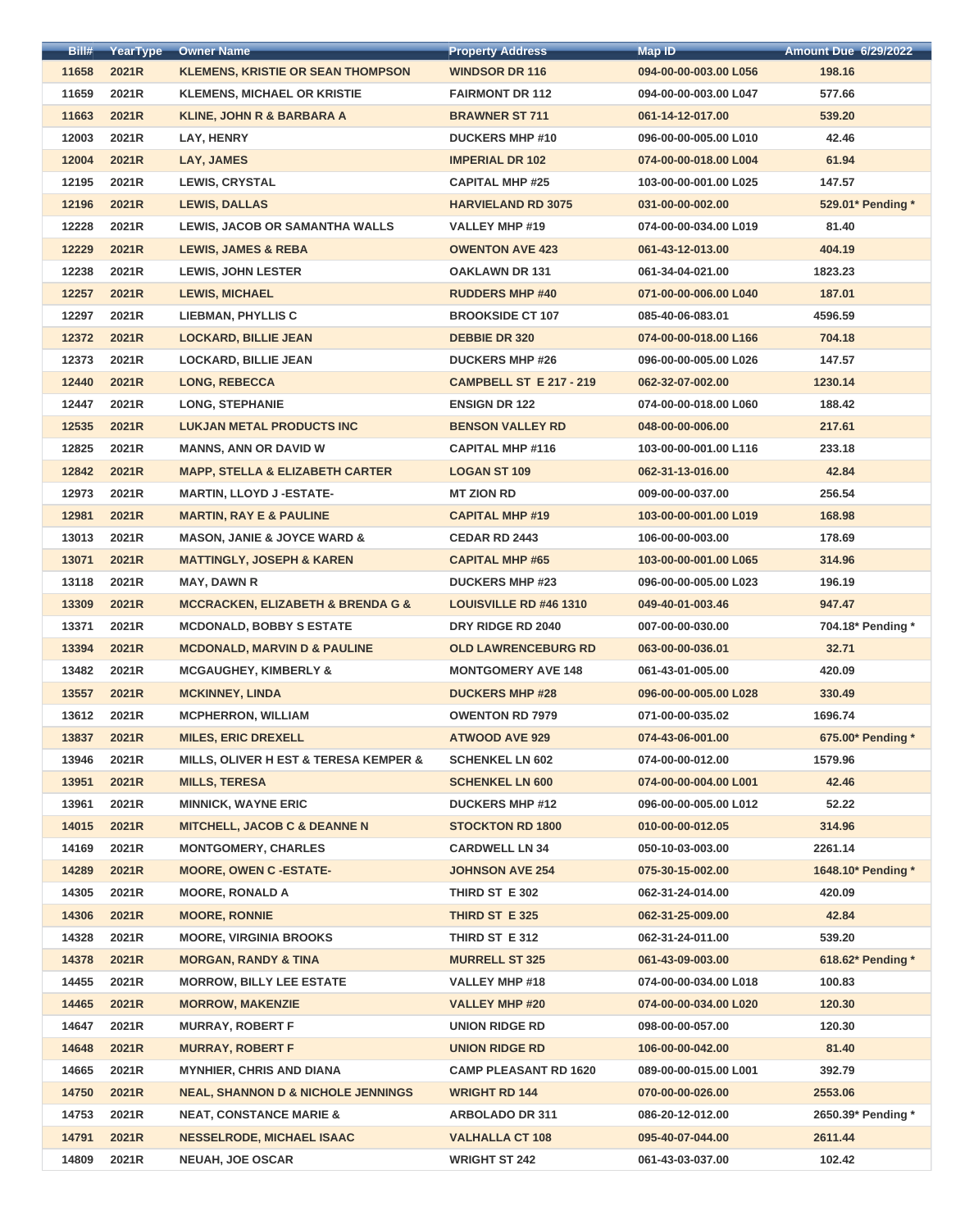| Bill# | YearType       | <b>Owner Name</b>                                    | <b>Property Address</b>        | <b>Map ID</b>         | <b>Amount Due 6/29/2022</b> |
|-------|----------------|------------------------------------------------------|--------------------------------|-----------------------|-----------------------------|
| 11658 | 2021R          | <b>KLEMENS, KRISTIE OR SEAN THOMPSON</b>             | <b>WINDSOR DR 116</b>          | 094-00-00-003.00 L056 | 198.16                      |
| 11659 | 2021R          | <b>KLEMENS, MICHAEL OR KRISTIE</b>                   | <b>FAIRMONT DR 112</b>         | 094-00-00-003.00 L047 | 577.66                      |
| 11663 | 2021R          | <b>KLINE, JOHN R &amp; BARBARA A</b>                 | <b>BRAWNER ST 711</b>          | 061-14-12-017.00      | 539.20                      |
| 12003 | 2021R          | LAY, HENRY                                           | <b>DUCKERS MHP #10</b>         | 096-00-00-005.00 L010 | 42.46                       |
| 12004 | 2021R          | LAY, JAMES                                           | <b>IMPERIAL DR 102</b>         | 074-00-00-018.00 L004 | 61.94                       |
| 12195 | 2021R          | <b>LEWIS, CRYSTAL</b>                                | <b>CAPITAL MHP #25</b>         | 103-00-00-001.00 L025 | 147.57                      |
| 12196 | 2021R          | <b>LEWIS, DALLAS</b>                                 | <b>HARVIELAND RD 3075</b>      | 031-00-00-002.00      | 529.01* Pending *           |
| 12228 | 2021R          | LEWIS, JACOB OR SAMANTHA WALLS                       | <b>VALLEY MHP #19</b>          | 074-00-00-034.00 L019 | 81.40                       |
| 12229 | 2021R          | <b>LEWIS, JAMES &amp; REBA</b>                       | <b>OWENTON AVE 423</b>         | 061-43-12-013.00      | 404.19                      |
| 12238 | 2021R          | <b>LEWIS, JOHN LESTER</b>                            | <b>OAKLAWN DR 131</b>          | 061-34-04-021.00      | 1823.23                     |
| 12257 | 2021R          | <b>LEWIS, MICHAEL</b>                                | <b>RUDDERS MHP #40</b>         | 071-00-00-006.00 L040 | 187.01                      |
| 12297 | 2021R          | <b>LIEBMAN, PHYLLIS C</b>                            | <b>BROOKSIDE CT 107</b>        | 085-40-06-083.01      | 4596.59                     |
| 12372 | 2021R          | <b>LOCKARD, BILLIE JEAN</b>                          | <b>DEBBIE DR 320</b>           | 074-00-00-018.00 L166 | 704.18                      |
| 12373 | 2021R          | <b>LOCKARD, BILLIE JEAN</b>                          | <b>DUCKERS MHP #26</b>         | 096-00-00-005.00 L026 | 147.57                      |
| 12440 | 2021R          | <b>LONG, REBECCA</b>                                 | <b>CAMPBELL ST E 217 - 219</b> | 062-32-07-002.00      | 1230.14                     |
| 12447 | 2021R          | <b>LONG, STEPHANIE</b>                               | <b>ENSIGN DR 122</b>           | 074-00-00-018.00 L060 | 188.42                      |
| 12535 | 2021R          | <b>LUKJAN METAL PRODUCTS INC</b>                     | <b>BENSON VALLEY RD</b>        | 048-00-00-006.00      | 217.61                      |
| 12825 | 2021R          | <b>MANNS, ANN OR DAVID W</b>                         | <b>CAPITAL MHP #116</b>        | 103-00-00-001.00 L116 | 233.18                      |
| 12842 | 2021R          | <b>MAPP, STELLA &amp; ELIZABETH CARTER</b>           | <b>LOGAN ST 109</b>            | 062-31-13-016.00      | 42.84                       |
| 12973 | 2021R          | <b>MARTIN, LLOYD J-ESTATE-</b>                       | <b>MT ZION RD</b>              | 009-00-00-037.00      | 256.54                      |
| 12981 | 2021R          | <b>MARTIN, RAY E &amp; PAULINE</b>                   | <b>CAPITAL MHP #19</b>         | 103-00-00-001.00 L019 | 168.98                      |
| 13013 | 2021R          | <b>MASON, JANIE &amp; JOYCE WARD &amp;</b>           | <b>CEDAR RD 2443</b>           | 106-00-00-003.00      | 178.69                      |
| 13071 | 2021R          | <b>MATTINGLY, JOSEPH &amp; KAREN</b>                 | <b>CAPITAL MHP #65</b>         | 103-00-00-001.00 L065 | 314.96                      |
|       | 2021R          |                                                      | <b>DUCKERS MHP #23</b>         | 096-00-00-005.00 L023 | 196.19                      |
| 13118 |                | <b>MAY, DAWN R</b>                                   |                                |                       |                             |
| 13309 | 2021R<br>2021R | <b>MCCRACKEN, ELIZABETH &amp; BRENDA G &amp;</b>     | <b>LOUISVILLE RD #46 1310</b>  | 049-40-01-003.46      | 947.47                      |
| 13371 |                | <b>MCDONALD, BOBBY S ESTATE</b>                      | DRY RIDGE RD 2040              | 007-00-00-030.00      | 704.18* Pending *           |
| 13394 | 2021R          | <b>MCDONALD, MARVIN D &amp; PAULINE</b>              | <b>OLD LAWRENCEBURG RD</b>     | 063-00-00-036.01      | 32.71                       |
| 13482 | 2021R          | <b>MCGAUGHEY, KIMBERLY &amp;</b>                     | <b>MONTGOMERY AVE 148</b>      | 061-43-01-005.00      | 420.09                      |
| 13557 | 2021R          | <b>MCKINNEY, LINDA</b>                               | <b>DUCKERS MHP #28</b>         | 096-00-00-005.00 L028 | 330.49                      |
| 13612 | 2021R          | <b>MCPHERRON, WILLIAM</b>                            | <b>OWENTON RD 7979</b>         | 071-00-00-035.02      | 1696.74                     |
| 13837 | 2021R          | <b>MILES, ERIC DREXELL</b>                           | <b>ATWOOD AVE 929</b>          | 074-43-06-001.00      | 675.00* Pending *           |
| 13946 | 2021R          | <b>MILLS, OLIVER H EST &amp; TERESA KEMPER &amp;</b> | <b>SCHENKEL LN 602</b>         | 074-00-00-012.00      | 1579.96                     |
| 13951 | 2021R          | <b>MILLS, TERESA</b>                                 | <b>SCHENKEL LN 600</b>         | 074-00-00-004.00 L001 | 42.46                       |
| 13961 | 2021R          | <b>MINNICK, WAYNE ERIC</b>                           | <b>DUCKERS MHP #12</b>         | 096-00-00-005.00 L012 | 52.22                       |
| 14015 | 2021R          | <b>MITCHELL, JACOB C &amp; DEANNE N</b>              | <b>STOCKTON RD 1800</b>        | 010-00-00-012.05      | 314.96                      |
| 14169 | 2021R          | <b>MONTGOMERY, CHARLES</b>                           | <b>CARDWELL LN 34</b>          | 050-10-03-003.00      | 2261.14                     |
| 14289 | 2021R          | <b>MOORE, OWEN C -ESTATE-</b>                        | <b>JOHNSON AVE 254</b>         | 075-30-15-002.00      | 1648.10* Pending *          |
| 14305 | 2021R          | <b>MOORE, RONALD A</b>                               | THIRD ST E 302                 | 062-31-24-014.00      | 420.09                      |
| 14306 | 2021R          | <b>MOORE, RONNIE</b>                                 | THIRD ST E 325                 | 062-31-25-009.00      | 42.84                       |
| 14328 | 2021R          | <b>MOORE, VIRGINIA BROOKS</b>                        | THIRD ST E 312                 | 062-31-24-011.00      | 539.20                      |
| 14378 | 2021R          | <b>MORGAN, RANDY &amp; TINA</b>                      | <b>MURRELL ST 325</b>          | 061-43-09-003.00      | 618.62* Pending *           |
| 14455 | 2021R          | <b>MORROW, BILLY LEE ESTATE</b>                      | <b>VALLEY MHP #18</b>          | 074-00-00-034.00 L018 | 100.83                      |
| 14465 | 2021R          | <b>MORROW, MAKENZIE</b>                              | <b>VALLEY MHP #20</b>          | 074-00-00-034.00 L020 | 120.30                      |
| 14647 | 2021R          | <b>MURRAY, ROBERT F</b>                              | <b>UNION RIDGE RD</b>          | 098-00-00-057.00      | 120.30                      |
| 14648 | 2021R          | <b>MURRAY, ROBERT F</b>                              | <b>UNION RIDGE RD</b>          | 106-00-00-042.00      | 81.40                       |
| 14665 | 2021R          | <b>MYNHIER, CHRIS AND DIANA</b>                      | <b>CAMP PLEASANT RD 1620</b>   | 089-00-00-015.00 L001 | 392.79                      |
| 14750 | 2021R          | <b>NEAL, SHANNON D &amp; NICHOLE JENNINGS</b>        | <b>WRIGHT RD 144</b>           | 070-00-00-026.00      | 2553.06                     |
| 14753 | 2021R          | <b>NEAT, CONSTANCE MARIE &amp;</b>                   | <b>ARBOLADO DR 311</b>         | 086-20-12-012.00      | 2650.39* Pending *          |
| 14791 | 2021R          | <b>NESSELRODE, MICHAEL ISAAC</b>                     | <b>VALHALLA CT 108</b>         | 095-40-07-044.00      | 2611.44                     |
| 14809 | 2021R          | <b>NEUAH, JOE OSCAR</b>                              | <b>WRIGHT ST 242</b>           | 061-43-03-037.00      | 102.42                      |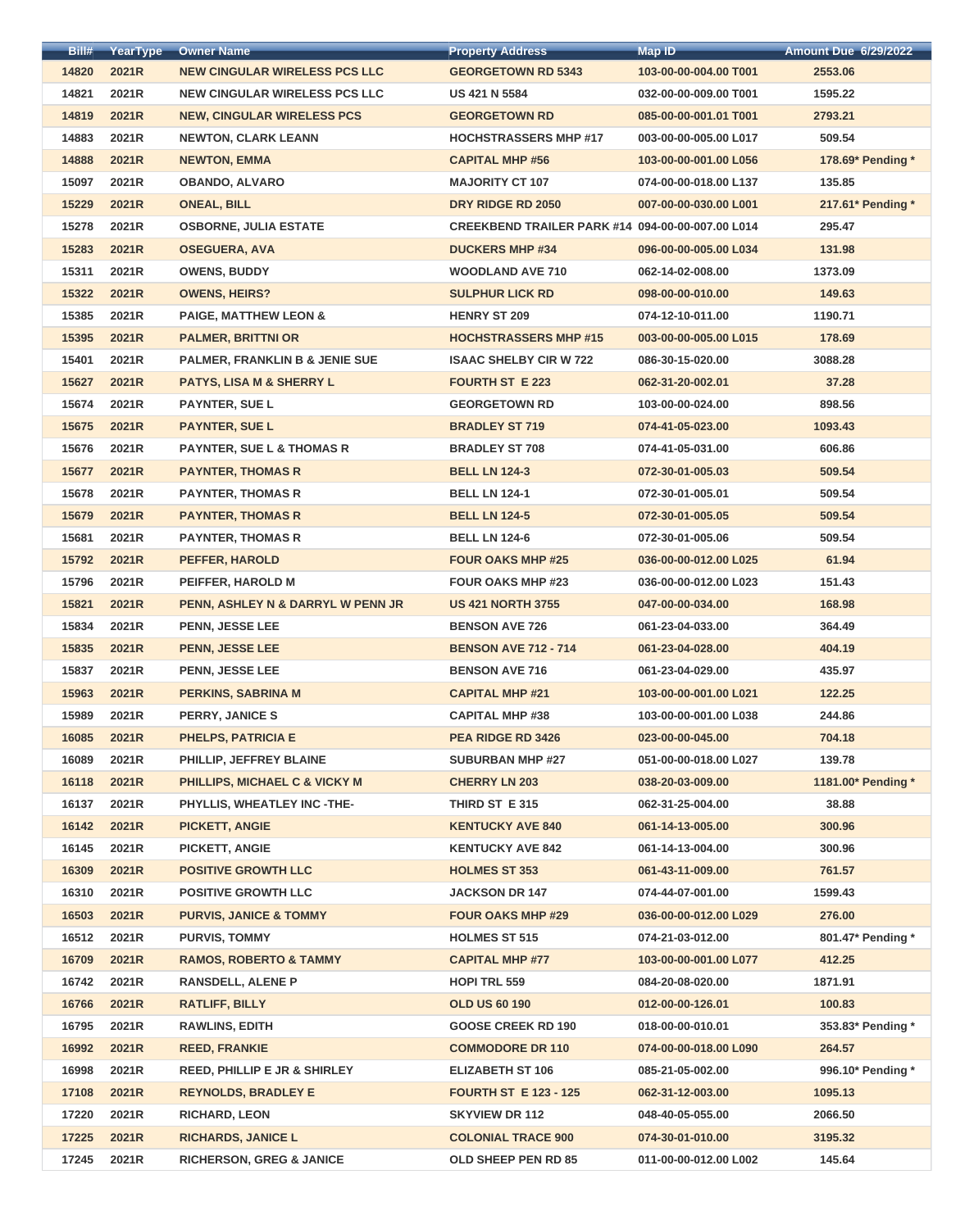| Bill# | YearType | <b>Owner Name</b>                         | <b>Property Address</b>                          | <b>Map ID</b>         | <b>Amount Due 6/29/2022</b> |
|-------|----------|-------------------------------------------|--------------------------------------------------|-----------------------|-----------------------------|
| 14820 | 2021R    | <b>NEW CINGULAR WIRELESS PCS LLC</b>      | <b>GEORGETOWN RD 5343</b>                        | 103-00-00-004.00 T001 | 2553.06                     |
| 14821 | 2021R    | <b>NEW CINGULAR WIRELESS PCS LLC</b>      | <b>US 421 N 5584</b>                             | 032-00-00-009.00 T001 | 1595.22                     |
| 14819 | 2021R    | <b>NEW, CINGULAR WIRELESS PCS</b>         | <b>GEORGETOWN RD</b>                             | 085-00-00-001.01 T001 | 2793.21                     |
| 14883 | 2021R    | <b>NEWTON, CLARK LEANN</b>                | <b>HOCHSTRASSERS MHP #17</b>                     | 003-00-00-005.00 L017 | 509.54                      |
| 14888 | 2021R    | <b>NEWTON, EMMA</b>                       | <b>CAPITAL MHP #56</b>                           | 103-00-00-001.00 L056 | 178.69* Pending *           |
| 15097 | 2021R    | <b>OBANDO, ALVARO</b>                     | <b>MAJORITY CT 107</b>                           | 074-00-00-018.00 L137 | 135.85                      |
| 15229 | 2021R    | <b>ONEAL, BILL</b>                        | DRY RIDGE RD 2050                                | 007-00-00-030.00 L001 | 217.61* Pending *           |
| 15278 | 2021R    | <b>OSBORNE, JULIA ESTATE</b>              | CREEKBEND TRAILER PARK #14 094-00-00-007.00 L014 |                       | 295.47                      |
| 15283 | 2021R    | <b>OSEGUERA, AVA</b>                      | <b>DUCKERS MHP #34</b>                           | 096-00-00-005.00 L034 | 131.98                      |
| 15311 | 2021R    | <b>OWENS, BUDDY</b>                       | <b>WOODLAND AVE 710</b>                          | 062-14-02-008.00      | 1373.09                     |
| 15322 | 2021R    | <b>OWENS, HEIRS?</b>                      | <b>SULPHUR LICK RD</b>                           | 098-00-00-010.00      | 149.63                      |
| 15385 | 2021R    | <b>PAIGE, MATTHEW LEON &amp;</b>          | <b>HENRY ST 209</b>                              | 074-12-10-011.00      | 1190.71                     |
| 15395 | 2021R    | <b>PALMER, BRITTNI OR</b>                 | <b>HOCHSTRASSERS MHP #15</b>                     | 003-00-00-005.00 L015 | 178.69                      |
| 15401 | 2021R    | <b>PALMER, FRANKLIN B &amp; JENIE SUE</b> | <b>ISAAC SHELBY CIR W 722</b>                    | 086-30-15-020.00      | 3088.28                     |
| 15627 | 2021R    | <b>PATYS, LISA M &amp; SHERRY L</b>       | <b>FOURTH ST E 223</b>                           | 062-31-20-002.01      | 37.28                       |
| 15674 | 2021R    | <b>PAYNTER, SUE L</b>                     | <b>GEORGETOWN RD</b>                             | 103-00-00-024.00      | 898.56                      |
| 15675 | 2021R    | <b>PAYNTER, SUE L</b>                     | <b>BRADLEY ST 719</b>                            | 074-41-05-023.00      | 1093.43                     |
| 15676 | 2021R    | <b>PAYNTER, SUE L &amp; THOMAS R</b>      | <b>BRADLEY ST 708</b>                            | 074-41-05-031.00      | 606.86                      |
| 15677 | 2021R    | <b>PAYNTER, THOMAS R</b>                  | <b>BELL LN 124-3</b>                             | 072-30-01-005.03      | 509.54                      |
| 15678 | 2021R    | <b>PAYNTER, THOMAS R</b>                  | <b>BELL LN 124-1</b>                             | 072-30-01-005.01      | 509.54                      |
| 15679 | 2021R    | <b>PAYNTER, THOMAS R</b>                  | <b>BELL LN 124-5</b>                             |                       | 509.54                      |
|       |          |                                           |                                                  | 072-30-01-005.05      |                             |
| 15681 | 2021R    | <b>PAYNTER, THOMAS R</b>                  | <b>BELL LN 124-6</b>                             | 072-30-01-005.06      | 509.54                      |
| 15792 | 2021R    | <b>PEFFER, HAROLD</b>                     | <b>FOUR OAKS MHP #25</b>                         | 036-00-00-012.00 L025 | 61.94                       |
| 15796 | 2021R    | PEIFFER, HAROLD M                         | <b>FOUR OAKS MHP #23</b>                         | 036-00-00-012.00 L023 | 151.43                      |
| 15821 | 2021R    | PENN, ASHLEY N & DARRYL W PENN JR         | <b>US 421 NORTH 3755</b>                         | 047-00-00-034.00      | 168.98                      |
| 15834 | 2021R    | <b>PENN, JESSE LEE</b>                    | <b>BENSON AVE 726</b>                            | 061-23-04-033.00      | 364.49                      |
| 15835 | 2021R    | <b>PENN, JESSE LEE</b>                    | <b>BENSON AVE 712 - 714</b>                      | 061-23-04-028.00      | 404.19                      |
| 15837 | 2021R    | <b>PENN, JESSE LEE</b>                    | <b>BENSON AVE 716</b>                            | 061-23-04-029.00      | 435.97                      |
| 15963 | 2021R    | <b>PERKINS, SABRINA M</b>                 | <b>CAPITAL MHP #21</b>                           | 103-00-00-001.00 L021 | 122.25                      |
| 15989 | 2021R    | <b>PERRY, JANICE S</b>                    | <b>CAPITAL MHP #38</b>                           | 103-00-00-001.00 L038 | 244.86                      |
| 16085 | 2021R    | <b>PHELPS, PATRICIA E</b>                 | PEA RIDGE RD 3426                                | 023-00-00-045.00      | 704.18                      |
| 16089 | 2021R    | PHILLIP, JEFFREY BLAINE                   | <b>SUBURBAN MHP #27</b>                          | 051-00-00-018.00 L027 | 139.78                      |
| 16118 | 2021R    | PHILLIPS, MICHAEL C & VICKY M             | <b>CHERRY LN 203</b>                             | 038-20-03-009.00      | 1181.00* Pending *          |
| 16137 | 2021R    | PHYLLIS, WHEATLEY INC -THE-               | THIRD ST E 315                                   | 062-31-25-004.00      | 38.88                       |
| 16142 | 2021R    | <b>PICKETT, ANGIE</b>                     | <b>KENTUCKY AVE 840</b>                          | 061-14-13-005.00      | 300.96                      |
| 16145 | 2021R    | <b>PICKETT, ANGIE</b>                     | <b>KENTUCKY AVE 842</b>                          | 061-14-13-004.00      | 300.96                      |
| 16309 | 2021R    | <b>POSITIVE GROWTH LLC</b>                | <b>HOLMES ST 353</b>                             | 061-43-11-009.00      | 761.57                      |
| 16310 | 2021R    | <b>POSITIVE GROWTH LLC</b>                | <b>JACKSON DR 147</b>                            | 074-44-07-001.00      | 1599.43                     |
| 16503 | 2021R    | <b>PURVIS, JANICE &amp; TOMMY</b>         | <b>FOUR OAKS MHP #29</b>                         | 036-00-00-012.00 L029 | 276.00                      |
| 16512 | 2021R    | <b>PURVIS, TOMMY</b>                      | <b>HOLMES ST 515</b>                             | 074-21-03-012.00      | 801.47* Pending *           |
| 16709 | 2021R    | <b>RAMOS, ROBERTO &amp; TAMMY</b>         | <b>CAPITAL MHP #77</b>                           | 103-00-00-001.00 L077 | 412.25                      |
| 16742 | 2021R    | <b>RANSDELL, ALENE P</b>                  | <b>HOPI TRL 559</b>                              | 084-20-08-020.00      | 1871.91                     |
| 16766 | 2021R    | <b>RATLIFF, BILLY</b>                     | <b>OLD US 60 190</b>                             | 012-00-00-126.01      | 100.83                      |
| 16795 | 2021R    | <b>RAWLINS, EDITH</b>                     | <b>GOOSE CREEK RD 190</b>                        | 018-00-00-010.01      | 353.83* Pending *           |
| 16992 | 2021R    | <b>REED, FRANKIE</b>                      | <b>COMMODORE DR 110</b>                          | 074-00-00-018.00 L090 | 264.57                      |
| 16998 | 2021R    | <b>REED, PHILLIP E JR &amp; SHIRLEY</b>   | <b>ELIZABETH ST 106</b>                          | 085-21-05-002.00      | 996.10* Pending *           |
| 17108 | 2021R    | <b>REYNOLDS, BRADLEY E</b>                | <b>FOURTH ST E 123 - 125</b>                     | 062-31-12-003.00      | 1095.13                     |
| 17220 | 2021R    | <b>RICHARD, LEON</b>                      | <b>SKYVIEW DR 112</b>                            | 048-40-05-055.00      | 2066.50                     |
| 17225 | 2021R    | <b>RICHARDS, JANICE L</b>                 | <b>COLONIAL TRACE 900</b>                        | 074-30-01-010.00      | 3195.32                     |
| 17245 | 2021R    | <b>RICHERSON, GREG &amp; JANICE</b>       | OLD SHEEP PEN RD 85                              | 011-00-00-012.00 L002 | 145.64                      |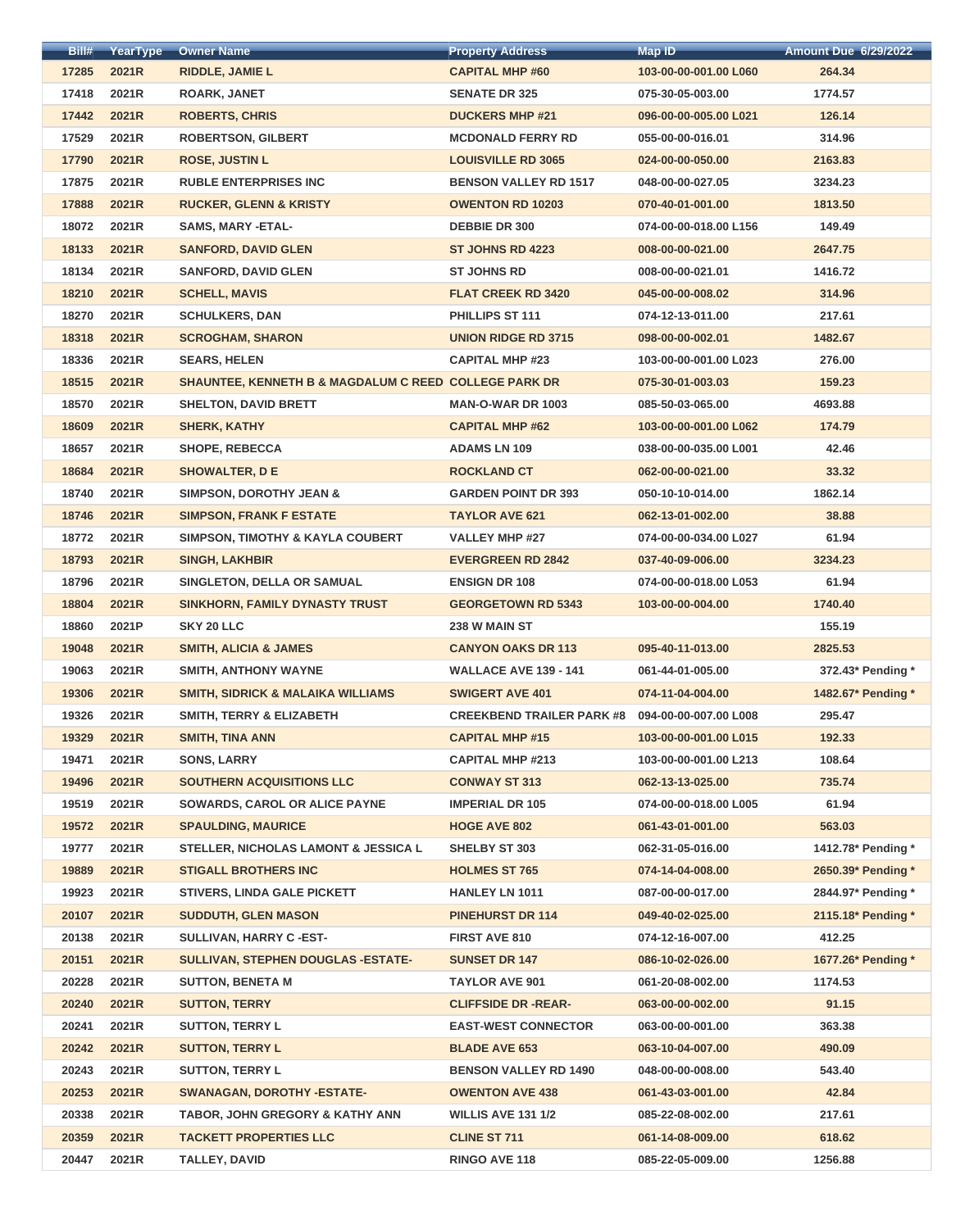| Bill# | YearType       | <b>Owner Name</b>                                                | <b>Property Address</b>          | <b>Map ID</b>         | <b>Amount Due 6/29/2022</b> |
|-------|----------------|------------------------------------------------------------------|----------------------------------|-----------------------|-----------------------------|
| 17285 | 2021R          | <b>RIDDLE, JAMIE L</b>                                           | <b>CAPITAL MHP #60</b>           | 103-00-00-001.00 L060 | 264.34                      |
| 17418 | 2021R          | <b>ROARK, JANET</b>                                              | <b>SENATE DR 325</b>             | 075-30-05-003.00      | 1774.57                     |
| 17442 | 2021R          | <b>ROBERTS, CHRIS</b>                                            | <b>DUCKERS MHP #21</b>           | 096-00-00-005.00 L021 | 126.14                      |
| 17529 | 2021R          | <b>ROBERTSON, GILBERT</b>                                        | <b>MCDONALD FERRY RD</b>         | 055-00-00-016.01      | 314.96                      |
| 17790 | 2021R          | <b>ROSE, JUSTIN L</b>                                            | <b>LOUISVILLE RD 3065</b>        | 024-00-00-050.00      | 2163.83                     |
| 17875 | 2021R          | <b>RUBLE ENTERPRISES INC</b>                                     | <b>BENSON VALLEY RD 1517</b>     | 048-00-00-027.05      | 3234.23                     |
| 17888 | 2021R          | <b>RUCKER, GLENN &amp; KRISTY</b>                                | <b>OWENTON RD 10203</b>          | 070-40-01-001.00      | 1813.50                     |
| 18072 | 2021R          | <b>SAMS, MARY -ETAL-</b>                                         | <b>DEBBIE DR 300</b>             | 074-00-00-018.00 L156 | 149.49                      |
| 18133 | 2021R          | <b>SANFORD, DAVID GLEN</b>                                       | <b>ST JOHNS RD 4223</b>          | 008-00-00-021.00      | 2647.75                     |
| 18134 | 2021R          | <b>SANFORD, DAVID GLEN</b>                                       | <b>ST JOHNS RD</b>               | 008-00-00-021.01      | 1416.72                     |
| 18210 | 2021R          | <b>SCHELL, MAVIS</b>                                             | <b>FLAT CREEK RD 3420</b>        | 045-00-00-008.02      | 314.96                      |
| 18270 | 2021R          | <b>SCHULKERS, DAN</b>                                            | <b>PHILLIPS ST 111</b>           | 074-12-13-011.00      | 217.61                      |
| 18318 | 2021R          | <b>SCROGHAM, SHARON</b>                                          | <b>UNION RIDGE RD 3715</b>       | 098-00-00-002.01      | 1482.67                     |
| 18336 | 2021R          | <b>SEARS, HELEN</b>                                              | <b>CAPITAL MHP #23</b>           | 103-00-00-001.00 L023 | 276.00                      |
| 18515 | 2021R          | <b>SHAUNTEE, KENNETH B &amp; MAGDALUM C REED COLLEGE PARK DR</b> |                                  | 075-30-01-003.03      | 159.23                      |
| 18570 | 2021R          | <b>SHELTON, DAVID BRETT</b>                                      | <b>MAN-O-WAR DR 1003</b>         | 085-50-03-065.00      | 4693.88                     |
| 18609 | 2021R          | <b>SHERK, KATHY</b>                                              | <b>CAPITAL MHP #62</b>           | 103-00-00-001.00 L062 | 174.79                      |
| 18657 | 2021R          | <b>SHOPE, REBECCA</b>                                            | <b>ADAMS LN 109</b>              | 038-00-00-035.00 L001 | 42.46                       |
| 18684 | 2021R          | <b>SHOWALTER, DE</b>                                             | <b>ROCKLAND CT</b>               | 062-00-00-021.00      | 33.32                       |
| 18740 | 2021R          | <b>SIMPSON, DOROTHY JEAN &amp;</b>                               | <b>GARDEN POINT DR 393</b>       | 050-10-10-014.00      | 1862.14                     |
| 18746 | 2021R          | <b>SIMPSON, FRANK F ESTATE</b>                                   | <b>TAYLOR AVE 621</b>            | 062-13-01-002.00      | 38.88                       |
| 18772 | 2021R          | <b>SIMPSON, TIMOTHY &amp; KAYLA COUBERT</b>                      | <b>VALLEY MHP #27</b>            | 074-00-00-034.00 L027 | 61.94                       |
| 18793 | 2021R          | <b>SINGH, LAKHBIR</b>                                            | <b>EVERGREEN RD 2842</b>         | 037-40-09-006.00      | 3234.23                     |
| 18796 | 2021R          | SINGLETON, DELLA OR SAMUAL                                       | <b>ENSIGN DR 108</b>             | 074-00-00-018.00 L053 | 61.94                       |
| 18804 | 2021R          | <b>SINKHORN, FAMILY DYNASTY TRUST</b>                            | <b>GEORGETOWN RD 5343</b>        | 103-00-00-004.00      | 1740.40                     |
| 18860 | 2021P          | SKY 20 LLC                                                       | 238 W MAIN ST                    |                       | 155.19                      |
| 19048 | 2021R          | <b>SMITH, ALICIA &amp; JAMES</b>                                 | <b>CANYON OAKS DR 113</b>        | 095-40-11-013.00      | 2825.53                     |
| 19063 | 2021R          | <b>SMITH, ANTHONY WAYNE</b>                                      | <b>WALLACE AVE 139 - 141</b>     | 061-44-01-005.00      | 372.43* Pending *           |
| 19306 | 2021R          | <b>SMITH, SIDRICK &amp; MALAIKA WILLIAMS</b>                     | <b>SWIGERT AVE 401</b>           | 074-11-04-004.00      | 1482.67* Pending *          |
| 19326 | 2021R          | <b>SMITH, TERRY &amp; ELIZABETH</b>                              | <b>CREEKBEND TRAILER PARK #8</b> | 094-00-00-007.00 L008 | 295.47                      |
| 19329 | 2021R          |                                                                  | <b>CAPITAL MHP #15</b>           |                       | 192.33                      |
|       | 2021R          | <b>SMITH, TINA ANN</b>                                           | <b>CAPITAL MHP #213</b>          | 103-00-00-001.00 L015 |                             |
| 19471 |                | <b>SONS, LARRY</b><br>SOUTHERN ACQUISITIONS LLC                  |                                  | 103-00-00-001.00 L213 | 108.64                      |
| 19496 | 2021R          |                                                                  | <b>CONWAY ST 313</b>             | 062-13-13-025.00      | 735.74                      |
| 19519 | 2021R          | SOWARDS, CAROL OR ALICE PAYNE                                    | <b>IMPERIAL DR 105</b>           | 074-00-00-018.00 L005 | 61.94                       |
| 19572 | 2021R<br>2021R | <b>SPAULDING, MAURICE</b>                                        | <b>HOGE AVE 802</b>              | 061-43-01-001.00      | 563.03                      |
| 19777 |                | STELLER, NICHOLAS LAMONT & JESSICA L                             | <b>SHELBY ST 303</b>             | 062-31-05-016.00      | 1412.78* Pending *          |
| 19889 | 2021R          | <b>STIGALL BROTHERS INC</b>                                      | <b>HOLMES ST 765</b>             | 074-14-04-008.00      | 2650.39* Pending *          |
| 19923 | 2021R          | <b>STIVERS, LINDA GALE PICKETT</b>                               | <b>HANLEY LN 1011</b>            | 087-00-00-017.00      | 2844.97* Pending *          |
| 20107 | 2021R          | <b>SUDDUTH, GLEN MASON</b>                                       | <b>PINEHURST DR 114</b>          | 049-40-02-025.00      | 2115.18* Pending *          |
| 20138 | 2021R          | SULLIVAN, HARRY C-EST-                                           | FIRST AVE 810                    | 074-12-16-007.00      | 412.25                      |
| 20151 | 2021R          | SULLIVAN, STEPHEN DOUGLAS - ESTATE-                              | <b>SUNSET DR 147</b>             | 086-10-02-026.00      | 1677.26* Pending *          |
| 20228 | 2021R          | <b>SUTTON, BENETA M</b>                                          | <b>TAYLOR AVE 901</b>            | 061-20-08-002.00      | 1174.53                     |
| 20240 | 2021R          | <b>SUTTON, TERRY</b>                                             | <b>CLIFFSIDE DR -REAR-</b>       | 063-00-00-002.00      | 91.15                       |
| 20241 | 2021R          | <b>SUTTON, TERRY L</b>                                           | <b>EAST-WEST CONNECTOR</b>       | 063-00-00-001.00      | 363.38                      |
| 20242 | 2021R          | <b>SUTTON, TERRY L</b>                                           | <b>BLADE AVE 653</b>             | 063-10-04-007.00      | 490.09                      |
| 20243 | 2021R          | <b>SUTTON, TERRY L</b>                                           | <b>BENSON VALLEY RD 1490</b>     | 048-00-00-008.00      | 543.40                      |
| 20253 | 2021R          | <b>SWANAGAN, DOROTHY -ESTATE-</b>                                | <b>OWENTON AVE 438</b>           | 061-43-03-001.00      | 42.84                       |
| 20338 | 2021R          | <b>TABOR, JOHN GREGORY &amp; KATHY ANN</b>                       | <b>WILLIS AVE 131 1/2</b>        | 085-22-08-002.00      | 217.61                      |
| 20359 | 2021R          | <b>TACKETT PROPERTIES LLC</b>                                    | <b>CLINE ST 711</b>              | 061-14-08-009.00      | 618.62                      |
| 20447 | 2021R          | <b>TALLEY, DAVID</b>                                             | RINGO AVE 118                    | 085-22-05-009.00      | 1256.88                     |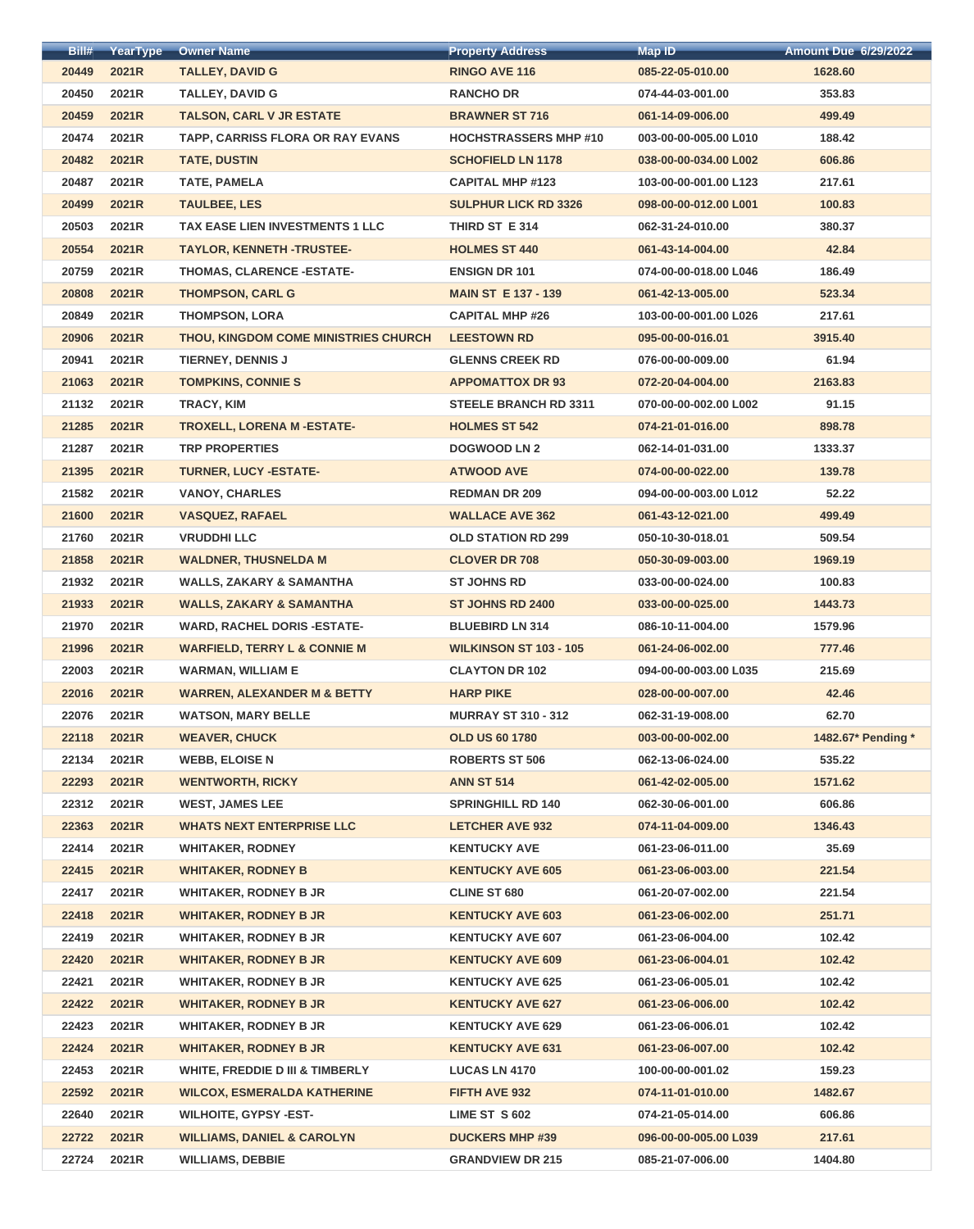| Bill#          | YearType | <b>Owner Name</b>                       | <b>Property Address</b>       | <b>Map ID</b>                        | <b>Amount Due 6/29/2022</b> |
|----------------|----------|-----------------------------------------|-------------------------------|--------------------------------------|-----------------------------|
| 20449          | 2021R    | <b>TALLEY, DAVID G</b>                  | <b>RINGO AVE 116</b>          | 085-22-05-010.00                     | 1628.60                     |
| 20450          | 2021R    | <b>TALLEY, DAVID G</b>                  | <b>RANCHO DR</b>              | 074-44-03-001.00                     | 353.83                      |
| 20459          | 2021R    | <b>TALSON, CARL V JR ESTATE</b>         | <b>BRAWNER ST 716</b>         | 061-14-09-006.00                     | 499.49                      |
| 20474          | 2021R    | TAPP, CARRISS FLORA OR RAY EVANS        | <b>HOCHSTRASSERS MHP #10</b>  | 003-00-00-005.00 L010                | 188.42                      |
| 20482          | 2021R    | <b>TATE, DUSTIN</b>                     | <b>SCHOFIELD LN 1178</b>      | 038-00-00-034.00 L002                | 606.86                      |
| 20487          | 2021R    | TATE, PAMELA                            | <b>CAPITAL MHP #123</b>       | 103-00-00-001.00 L123                | 217.61                      |
| 20499          | 2021R    | <b>TAULBEE, LES</b>                     | <b>SULPHUR LICK RD 3326</b>   | 098-00-00-012.00 L001                | 100.83                      |
| 20503          | 2021R    | TAX EASE LIEN INVESTMENTS 1 LLC         | THIRD ST E 314                | 062-31-24-010.00                     | 380.37                      |
| 20554          | 2021R    | <b>TAYLOR, KENNETH -TRUSTEE-</b>        | <b>HOLMES ST 440</b>          | 061-43-14-004.00                     | 42.84                       |
| 20759          | 2021R    | THOMAS, CLARENCE - ESTATE-              | <b>ENSIGN DR 101</b>          | 074-00-00-018.00 L046                | 186.49                      |
| 20808          | 2021R    | <b>THOMPSON, CARL G</b>                 | <b>MAIN ST E 137 - 139</b>    | 061-42-13-005.00                     | 523.34                      |
| 20849          | 2021R    | <b>THOMPSON, LORA</b>                   | <b>CAPITAL MHP #26</b>        | 103-00-00-001.00 L026                | 217.61                      |
| 20906          | 2021R    | THOU, KINGDOM COME MINISTRIES CHURCH    | <b>LEESTOWN RD</b>            | 095-00-00-016.01                     | 3915.40                     |
| 20941          | 2021R    | <b>TIERNEY, DENNIS J</b>                | <b>GLENNS CREEK RD</b>        | 076-00-00-009.00                     | 61.94                       |
| 21063          | 2021R    | <b>TOMPKINS, CONNIE S</b>               | <b>APPOMATTOX DR 93</b>       | 072-20-04-004.00                     | 2163.83                     |
| 21132          | 2021R    | <b>TRACY, KIM</b>                       | <b>STEELE BRANCH RD 3311</b>  | 070-00-00-002.00 L002                | 91.15                       |
| 21285          | 2021R    | <b>TROXELL, LORENA M-ESTATE-</b>        | <b>HOLMES ST 542</b>          | 074-21-01-016.00                     | 898.78                      |
| 21287          | 2021R    | <b>TRP PROPERTIES</b>                   | <b>DOGWOOD LN 2</b>           | 062-14-01-031.00                     | 1333.37                     |
| 21395          | 2021R    | <b>TURNER, LUCY -ESTATE-</b>            | <b>ATWOOD AVE</b>             | 074-00-00-022.00                     | 139.78                      |
| 21582          | 2021R    | <b>VANOY, CHARLES</b>                   | <b>REDMAN DR 209</b>          | 094-00-00-003.00 L012                | 52.22                       |
| 21600          | 2021R    | <b>VASQUEZ, RAFAEL</b>                  | <b>WALLACE AVE 362</b>        | 061-43-12-021.00                     | 499.49                      |
|                | 2021R    | <b>VRUDDHI LLC</b>                      | <b>OLD STATION RD 299</b>     |                                      |                             |
| 21760<br>21858 | 2021R    |                                         | <b>CLOVER DR 708</b>          | 050-10-30-018.01<br>050-30-09-003.00 | 509.54<br>1969.19           |
|                |          | <b>WALDNER, THUSNELDA M</b>             | <b>ST JOHNS RD</b>            |                                      |                             |
| 21932          | 2021R    | <b>WALLS, ZAKARY &amp; SAMANTHA</b>     |                               | 033-00-00-024.00                     | 100.83                      |
| 21933          | 2021R    | <b>WALLS, ZAKARY &amp; SAMANTHA</b>     | <b>ST JOHNS RD 2400</b>       | 033-00-00-025.00                     | 1443.73                     |
| 21970          | 2021R    | <b>WARD, RACHEL DORIS -ESTATE-</b>      | <b>BLUEBIRD LN 314</b>        | 086-10-11-004.00                     | 1579.96                     |
| 21996          | 2021R    | <b>WARFIELD, TERRY L &amp; CONNIE M</b> | <b>WILKINSON ST 103 - 105</b> | 061-24-06-002.00                     | 777.46                      |
| 22003          | 2021R    | <b>WARMAN, WILLIAM E</b>                | <b>CLAYTON DR 102</b>         | 094-00-00-003.00 L035                | 215.69                      |
| 22016          | 2021R    | <b>WARREN, ALEXANDER M &amp; BETTY</b>  | <b>HARP PIKE</b>              | 028-00-00-007.00                     | 42.46                       |
| 22076          | 2021R    | <b>WATSON, MARY BELLE</b>               | <b>MURRAY ST 310 - 312</b>    | 062-31-19-008.00                     | 62.70                       |
| 22118          | 2021R    | <b>WEAVER, CHUCK</b>                    | <b>OLD US 60 1780</b>         | 003-00-00-002.00                     | 1482.67* Pending *          |
| 22134          | 2021R    | <b>WEBB, ELOISE N</b>                   | <b>ROBERTS ST 506</b>         | 062-13-06-024.00                     | 535.22                      |
| 22293          | 2021R    | <b>WENTWORTH, RICKY</b>                 | <b>ANN ST 514</b>             | 061-42-02-005.00                     | 1571.62                     |
| 22312          | 2021R    | <b>WEST, JAMES LEE</b>                  | <b>SPRINGHILL RD 140</b>      | 062-30-06-001.00                     | 606.86                      |
| 22363          | 2021R    | <b>WHATS NEXT ENTERPRISE LLC</b>        | <b>LETCHER AVE 932</b>        | 074-11-04-009.00                     | 1346.43                     |
| 22414          | 2021R    | <b>WHITAKER, RODNEY</b>                 | <b>KENTUCKY AVE</b>           | 061-23-06-011.00                     | 35.69                       |
| 22415          | 2021R    | <b>WHITAKER, RODNEY B</b>               | <b>KENTUCKY AVE 605</b>       | 061-23-06-003.00                     | 221.54                      |
| 22417          | 2021R    | <b>WHITAKER, RODNEY B JR</b>            | <b>CLINE ST 680</b>           | 061-20-07-002.00                     | 221.54                      |
| 22418          | 2021R    | <b>WHITAKER, RODNEY B JR</b>            | <b>KENTUCKY AVE 603</b>       | 061-23-06-002.00                     | 251.71                      |
| 22419          | 2021R    | <b>WHITAKER, RODNEY B JR</b>            | <b>KENTUCKY AVE 607</b>       | 061-23-06-004.00                     | 102.42                      |
| 22420          | 2021R    | <b>WHITAKER, RODNEY B JR</b>            | <b>KENTUCKY AVE 609</b>       | 061-23-06-004.01                     | 102.42                      |
| 22421          | 2021R    | <b>WHITAKER, RODNEY B JR</b>            | <b>KENTUCKY AVE 625</b>       | 061-23-06-005.01                     | 102.42                      |
| 22422          | 2021R    | <b>WHITAKER, RODNEY B JR</b>            | <b>KENTUCKY AVE 627</b>       | 061-23-06-006.00                     | 102.42                      |
| 22423          | 2021R    | <b>WHITAKER, RODNEY B JR</b>            | <b>KENTUCKY AVE 629</b>       | 061-23-06-006.01                     | 102.42                      |
| 22424          | 2021R    | <b>WHITAKER, RODNEY B JR</b>            | <b>KENTUCKY AVE 631</b>       | 061-23-06-007.00                     | 102.42                      |
| 22453          | 2021R    | WHITE, FREDDIE D III & TIMBERLY         | <b>LUCAS LN 4170</b>          | 100-00-00-001.02                     | 159.23                      |
| 22592          | 2021R    | <b>WILCOX, ESMERALDA KATHERINE</b>      | FIFTH AVE 932                 | 074-11-01-010.00                     | 1482.67                     |
| 22640          | 2021R    | <b>WILHOITE, GYPSY-EST-</b>             | LIME ST S 602                 | 074-21-05-014.00                     | 606.86                      |
| 22722          | 2021R    | <b>WILLIAMS, DANIEL &amp; CAROLYN</b>   | <b>DUCKERS MHP #39</b>        | 096-00-00-005.00 L039                | 217.61                      |
| 22724          | 2021R    | <b>WILLIAMS, DEBBIE</b>                 | <b>GRANDVIEW DR 215</b>       | 085-21-07-006.00                     | 1404.80                     |